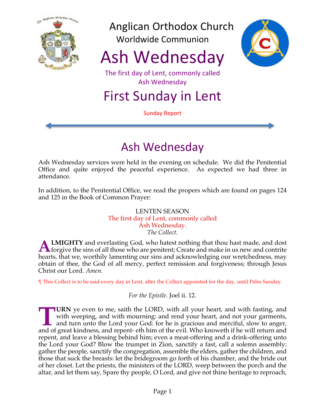

Anglican Orthodox Church Worldwide Communion

Ash Wednesday



The first day of Lent, commonly called Ash Wednesday

First Sunday in Lent

Sunday Report

# Ash Wednesday

Ash Wednesday services were held in the evening on schedule. We did the Penitential Office and quite enjoyed the peaceful experience. As expected we had three in attendance.

In addition, to the Penitential Office, we read the propers which are found on pages 124 and 125 in the Book of Common Prayer:

#### LENTEN SEASON The first day of Lent, commonly called Ash Wednesday. *The Collect.*

**LMIGHTY** and everlasting God, who hatest nothing that thou hast made, and dost **ALMIGHTY** and everlasting God, who hatest nothing that thou hast made, and dost forgive the sins of all those who are penitent; Create and make in us new and contrite hearts, that we, worthily lamenting our sins and acknowledging our wretchedness, may obtain of thee, the God of all mercy, perfect remission and forgiveness; through Jesus Christ our Lord. *Amen.*

¶ This Collect is to be said every day in Lent, after the Collect appointed for the day, until Palm Sunday.

*For the Epistle.* Joel ii. 12.

**IURN** ye even to me, saith the LORD, with all your heart, and with fasting, and with weeping, and with mourning: and rend your heart, and not your garments, and turn unto the Lord your God: for he is gracious and merciful, slow to anger, **TURN** ye even to me, saith the LORD, with all your heart, and with fasting, and with weeping, and with mourning: and rend your heart, and not your garments, and turn unto the Lord your God: for he is gracious and merciful repent, and leave a blessing behind him; even a meat-offering and a drink-offering unto the Lord your God? Blow the trumpet in Zion, sanctify a fast, call a solemn assembly: gather the people, sanctify the congregation, assemble the elders, gather the children, and those that suck the breasts: let the bridegroom go forth of his chamber, and the bride out of her closet. Let the priests, the ministers of the LORD, weep between the porch and the altar, and let them say, Spare thy people, O Lord, and give not thine heritage to reproach,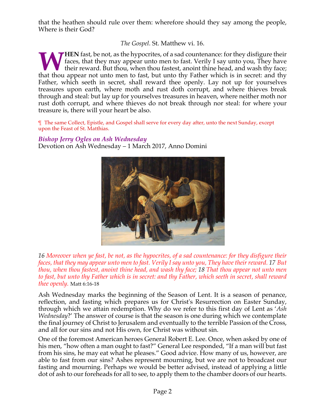that the heathen should rule over them: wherefore should they say among the people, Where is their God?

*The Gospel.* St. Matthew vi. 16.

**HEN** fast, be not, as the hypocrites, of a sad countenance: for they disfigure their faces, that they may appear unto men to fast. Verily I say unto you, They have their reward. But thou, when thou fastest, anoint thine head, and wash thy face; **that they** fast, be not, as the hypocrites, of a sad countenance: for they disfigure their faces, that they may appear unto men to fast. Verily I say unto you, They have that thou appear not unto men to fast, but unto thy Father, which seeth in secret, shall reward thee openly. Lay not up for yourselves treasures upon earth, where moth and rust doth corrupt, and where thieves break through and steal: but lay up for yourselves treasures in heaven, where neither moth nor rust doth corrupt, and where thieves do not break through nor steal: for where your treasure is, there will your heart be also.

¶ The same Collect, Epistle, and Gospel shall serve for every day after, unto the next Sunday, except upon the Feast of St. Matthias.

# *Bishop Jerry Ogles on Ash Wednesday*

Devotion on Ash Wednesday – 1 March 2017, Anno Domini



16 Moreover when ye fast, be not, as the hypocrites, of a sad countenance: for they disfigure their faces, that they may appear unto men to fast. Verily I say unto you, They have their reward. 17 But *thou, when thou fastest, anoint thine head, and wash thy face; 18 That thou appear not unto men* to fast, but unto thy Father which is in secret: and thy Father, which seeth in secret, shall reward *thee openly.* Matt 6:16-18

Ash Wednesday marks the beginning of the Season of Lent. It is a season of penance, reflection, and fasting which prepares us for Christ's Resurrection on Easter Sunday, through which we attain redemption. Why do we refer to this first day of Lent as '*Ash Wednesday*?' The answer of course is that the season is one during which we contemplate the final journey of Christ to Jerusalem and eventually to the terrible Passion of the Cross, and all for our sins and not His own, for Christ was without sin.

One of the foremost American heroes General Robert E. Lee. Once, when asked by one of his men, "how often a man ought to fast?" General Lee responded, "If a man will but fast from his sins, he may eat what he pleases." Good advice. How many of us, however, are able to fast from our sins? Ashes represent mourning, but we are not to broadcast our fasting and mourning. Perhaps we would be better advised, instead of applying a little dot of ash to our foreheads for all to see, to apply them to the chamber doors of our hearts.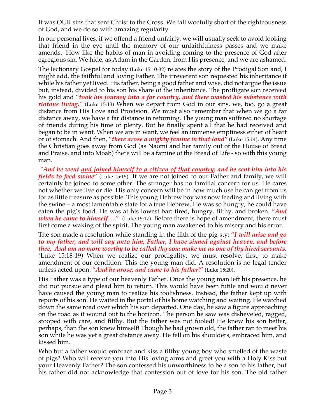It was OUR sins that sent Christ to the Cross. We fall woefully short of the righteousness of God, and we do so with amazing regularity.

In our personal lives, if we offend a friend unfairly, we will usually seek to avoid looking that friend in the eye until the memory of our unfaithfulness passes and we make amends. How like the habits of man in avoiding coming to the presence of God after egregious sin. We hide, as Adam in the Garden, from His presence, and we are ashamed.

The lectionary Gospel for today (Luke 15:10-32) relates the story of the Prodigal Son and, I might add, the faithful and loving Father. The irreverent son requested his inheritance if while his father yet lived. His father, being a good father and wise, did not argue the issue but, instead, divided to his son his share of the inheritance. The profligate son received his gold and "*took his journey into a far country, and there wasted his substance with riotous living."* (Luke 15:13) When we depart from God in our sins, we, too, go a great distance from His Love and Provision. We must also remember that when we go a far distance away, we have a far distance in returning. The young man suffered no shortage of friends during his time of plenty. But he finally spent all that he had received and began to be in want. When we are in want, we feel an immense emptiness either of heart or of stomach. And then, "*there arose a mighty famine in that land"* (Luke 15:14). Any time the Christian goes away from God (as Naomi and her family out of the House of Bread and Praise, and into Moab) there will be a famine of the Bread of Life - so with this young man.

*"And he went and joined himself to a citizen of that country; and he sent him into his fields to feed swine*" (Luke 15:15) If we are not joined to our Father and family, we will certainly be joined to some other. The stranger has no familial concern for us. He cares not whether we live or die. His only concern will be in how much use he can get from us for as little treasure as possible. This young Hebrew boy was now feeding and living with the swine – a most lamentable state for a true Hebrew. He was so hungry, he could have eaten the pig's food. He was at his lowest bar: tired, hungry, filthy, and broken. "*And when he came to himself*…." (Luke 15:17). Before there is hope of amendment, there must first come a waking of the spirit. The young man awakened to his misery and his error.

The son made a resolution while standing in the filth of the pig sty: "*I will arise and go to my father, and will say unto him, Father, I have sinned against heaven, and before thee, And am no more worthy to be called thy son: make me as one of thy hired servants. (*Luke 15:18-19) When we realize our prodigality, we must resolve, first, to make amendment of our condition. This the young man did. A resolution is no legal tender unless acted upon: "*And he arose, and came to his father***!"** (Luke 15:20).

His Father was a type of our heavenly Father. Once the young man left his presence, he did not pursue and plead him to return. This would have been futile and would never have caused the young man to realize his foolishness. Instead, the father kept up with reports of his son. He waited in the portal of his home watching and waiting. He watched down the same road over which his son departed. One day, he saw a figure approaching on the road as it wound out to the horizon. The person he saw was disheveled, ragged, stooped with care, and filthy. But the father was not fooled! He knew his son better, perhaps, than the son knew himself! Though he had grown old, the father ran to meet his son while he was yet a great distance away. He fell on his shoulders, embraced him, and kissed him.

Who but a father would embrace and kiss a filthy young boy who smelled of the waste of pigs? Who will receive you into His loving arms and greet you with a Holy Kiss but your Heavenly Father? The son confessed his unworthiness to be a son to his father, but his father did not acknowledge that confession out of love for his son. The old father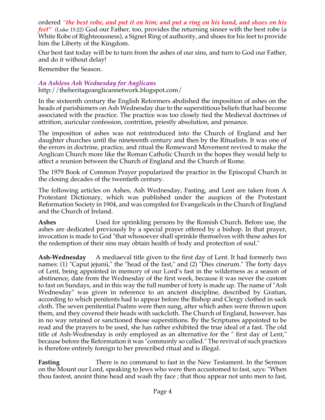ordered "the best robe, and put it on him; and put a ring on his hand, and shoes on his *feet"* (Luke 15:22) God our Father, too, provides the returning sinner with the best robe (a White Robe of Righteousness), a Signet Ring of authority, and shoes for his feet to provide him the Liberty of the Kingdom.

Our best fast today will be to turn from the ashes of our sins, and turn to God our Father, and do it without delay!

Remember the Season.

#### *An Ashless Ash Wednesday for Anglicans*

http://theheritageanglicannetwork.blogspot.com/

In the sixteenth century the English Reformers abolished the imposition of ashes on the heads of parishioners on Ash Wednesday due to the superstitious beliefs that had become associated with the practice. The practice was too closely tied the Medieval doctrines of attrition, auricular confession, contrition, priestly absolution, and penance.

The imposition of ashes was not reintroduced into the Church of England and her daughter churches until the nineteenth century and then by the Ritualists. It was one of the errors in doctrine, practice, and ritual the Romeward Movement revived to make the Anglican Church more like the Roman Catholic Church in the hopes they would help to affect a reunion between the Church of England and the Church of Rome.

The 1979 Book of Common Prayer popularized the practice in the Episcopal Church in the closing decades of the twentieth century.

The following articles on Ashes, Ash Wednesday, Fasting, and Lent are taken from A Protestant Dictionary, which was published under the auspices of the Protestant Reformation Society in 1904, and was compiled for Evangelicals in the Church of England and the Church of Ireland.

**Ashes** Used for sprinkling persons by the Romish Church. Before use, the ashes are dedicated previously by a special prayer offered by a bishop. In that prayer, invocation is made to God "that whosoever shall sprinkle themselves with these ashes for the redemption of their sins may obtain health of body and protection of soul."

**Ash-Wednesday** A mediaeval title given to the first day of Lent. It had formerly two names: (1) "Caput jejunii," the "head of the fast," and (2) "Dies cinerum." The forty days of Lent, being appointed in memory of our Lord's fast in the wilderness as a season of abstinence, date from the Wednesday of the first week, because it was never the custom to fast on Sundays, and in this way the full number of forty is made up. The name of "Ash Wednesday" was given in reference to an ancient discipline, described by Gratian, according to which penitents had to appear before the Bishop and Clergy clothed in sack cloth. The seven penitential Psalms were then sung, after which ashes were thrown upon them, and they covered their heads with sackcloth. The Church of England, however, has in no way retained or sanctioned those superstitions. By the Scriptures appointed to be read and the prayers to be used, she has rather exhibited the true ideal of a fast. The old title of Ash-Wednesday is only employed as an alternative for the " first day of Lent," because before the Reformation it was "commonly so called." The revival of such practices is therefore entirely foreign to her prescribed ritual and is illegal.

**Fasting** There is no command to fast in the New Testament. In the Sermon on the Mount our Lord, speaking to Jews who were then accustomed to fast, says: "When thou fastest, anoint thine head and wash thy face ; that thou appear not unto men to fast,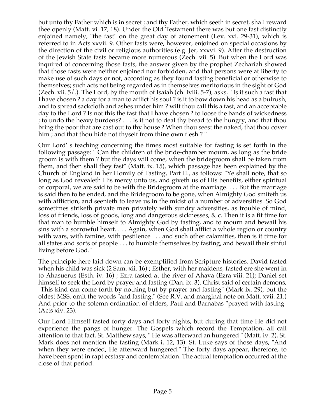but unto thy Father which is in secret ; and thy Father, which seeth in secret, shall reward thee openly (Matt. vi. 17, 18). Under the Old Testament there was but one fast distinctly enjoined namely, "the fast" on the great day of atonement (Lev. xvi. 29-31), which is referred to in Acts xxvii. 9. Other fasts were, however, enjoined on special occasions by the direction of the civil or religious authorities (e.g. Jer, xxxvi. 9). After the destruction of the Jewish State fasts became more numerous (Zech. vii. 5). But when the Lord was inquired of concerning those fasts, the answer given by the prophet Zechariah showed that those fasts were neither enjoined nor forbidden, and that persons were at liberty to make use of such days or not, according as they found fasting beneficial or otherwise to themselves; such acts not being regarded as in themselves meritorious in the sight of God (Zech. vii. 5/.). The Lord, by the mouth of Isaiah (ch. Iviii. 5-7), asks, " Is it such a fast that I have chosen ? a day for a man to afflict his soul ? is it to bow down his head as a bulrush, and to spread sackcloth and ashes under him ? wilt thou call this a fast, and an acceptable day to the Lord ? Is not this the fast that I have chosen ? to loose the bands of wickedness ; to undo the heavy burdens? . . . Is it not to deal thy bread to the hungry, and that thou bring the poor that are cast out to thy house ? When thou seest the naked, that thou cover him ; and that thou hide not thyself from thine own flesh ? "

Our Lord' s teaching concerning the times most suitable for fasting is set forth in the following passage: " Can the children of the bride-chamber mourn, as long as the bride groom is with them ? but the days will come, when the bridegroom shall be taken from them, and then shall they fast" (Matt. ix. 15), which passage has been explained by the Church of England in her Homily of Fasting, Part II., as follows: "Ye shall note, that so long as God revealeth His mercy unto us, and giveth us of His benefits, either spiritual or corporal, we are said to be with the Bridegroom at the marriage. . . . But the marriage is said then to be ended, and the Bridegroom to be gone, when Almighty God smiteth us with affliction, and seenieth to leave us in the midst of a number of adversities. So God sometimes striketh private men privately with sundry adversities, as trouble of mind, loss of friends, loss of goods, long and dangerous sicknesses, & c. Then it is a fit time for that man to humble himself to Almighty God by fasting, and to mourn and bewail his sins with a sorrowful heart. . . . Again, when God shall afflict a whole region or country with wars, with famine, with pestilence . . . and such other calamities, then is it time for all states and sorts of people . . . to humble themselves by fasting, and bewail their sinful living before God."

The principle here laid down can be exemplified from Scripture histories. David fasted when his child was sick (2 Sam. xii. 16) ; Esther, with her maidens, fasted ere she went in to Ahasuerus (Esth. iv. 16) ; Ezra fasted at the river of Ahava (Ezra viii. 21); Daniel set himself to seek the Lord by prayer and fasting (Dan. ix. 3). Christ said of certain demons, "This kind can come forth by nothing but by prayer and fasting" (Mark ix. 29), but the oldest MSS. omit the words "and fasting." (See R.V. and marginal note on Matt. xvii. 21.) And prior to the solemn ordination of elders, Paul and Barnabas "prayed with fasting" (Acts xiv. 23).

Our Lord Himself fasted forty days and forty nights, but during that time He did not experience the pangs of hunger. The Gospels which record the Temptation, all call attention to that fact. St. Matthew says, " He was afterward an hungered " (Matt. iv. 2). St. Mark does not mention the fasting (Mark i. 12, 13). St. Luke says of those days, "And when they were ended, He afterward hungered." The forty days appear, therefore, to have been spent in rapt ecstasy and contemplation. The actual temptation occurred at the close of that period.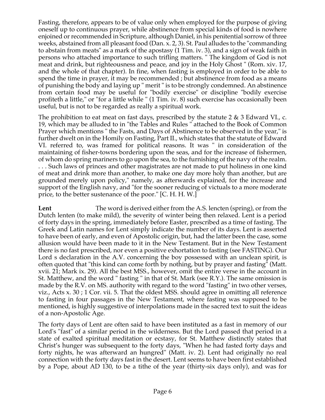Fasting, therefore, appears to be of value only when employed for the purpose of giving oneself up to continuous prayer, while abstinence from special kinds of food is nowhere enjoined or recommended in Scripture, although Daniel, in his penitential sorrow of three weeks, abstained from all pleasant food (Dan. x. 2, 3). St. Paul alludes to the "commanding to abstain from meats" as a mark of the apostasy (1 Tim. iv. 3), and a sign of weak faith in persons who attached importance to such trifling matters. " The kingdom of God is not meat and drink, but righteousness and peace, and joy in the Holy Ghost " (Rom. xiv. 17, and the whole of that chapter). In fine, when fasting is employed in order to be able to spend the time in prayer, it may be recommended ; but abstinence from food as a means of punishing the body and laying up " merit " is to be strongly condemned. An abstinence from certain food may be useful for "bodily exercise" or discipline "bodily exercise profiteth a little," or "for a little while " (1 Tim. iv. 8) such exercise has occasionally been useful, but is not to be regarded as really a spiritual work.

The prohibition to eat meat on fast days, prescribed by the statute 2 & 3 Edward VI., c. 19, which may be alluded to in "the Tables and Rules " attached to the Book of Common Prayer which mentions " the Fasts, and Days of Abstinence to be observed in the year," is further dwelt on in the Homily on Fasting, Part II., which states that the statute of Edward VI. referred to, was framed for political reasons. It was " in consideration of the maintaining of fisher-towns bordering upon the seas, and for the increase of fishermen, of whom do spring mariners to go upon the sea, to the furnishing of the navy of the realm. . . . Such laws of princes and other magistrates are not made to put holiness in one kind of meat and drink more than another, to make one day more holy than another, but are grounded merely upon policy," namely, as afterwards explained, for the increase and support of the English navy, and "for the sooner reducing of victuals to a more moderate price, to the better sustenance of the poor." [C. H. H. W.]

Lent The word is derived either from the A.S. lencten (spring), or from the Dutch lenten (to make mild), the severity of winter being then relaxed. Lent is a period of forty days in the spring, immediately before Easter, prescribed as a time of fasting. The Greek and Latin names for Lent simply indicate the number of its days. Lent is asserted to have been of early, and even of Apostolic origin, but, had the latter been the case, some allusion would have been made to it in the New Testament. But in the New Testament there is no fast prescribed, nor even a positive exhortation to fasting (see FASTING). Our Lord s declaration in the A.V. concerning the boy possessed with an unclean spirit, is often quoted that "this kind can come forth by nothing, but by prayer and fasting" (Matt. xvii. 21; Mark ix. 29). All the best MSS., however, omit the entire verse in the account in St. Matthew, and the word " fasting " in that of St. Mark (see R.Y.). The same omission is made by the R.V. on MS. authority with regard to the word "fasting" in two other verses, viz., Acts x. 30 ; 1 Cor. vii. 5. That the oldest MSS. should agree in omitting all reference to fasting in four passages in the New Testament, where fasting was supposed to be mentioned, is highly suggestive of interpolations made in the sacred text to suit the ideas of a non-Apostolic Age.

The forty days of Lent are often said to have been instituted as a fast in memory of our Lord's "fast" of a similar period in the wilderness. But the Lord passed that period in a state of exalted spiritual meditation or ecstasy, for St. Matthew distinctly states that Christ's hunger was subsequent to the forty days, "When he had fasted forty days and forty nights, he was afterward an hungred" (Matt. iv. 2). Lent had originally no real connection with the forty days fast in the desert. Lent seems to have been first established by a Pope, about AD 130, to be a tithe of the year (thirty-six days only), and was for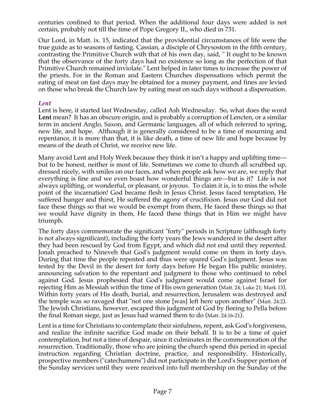centuries confined to that period. When the additional four days were added is not certain, probably not till the time of Pope Gregory II., who died in 731.

Our Lord, in Matt. ix. 15, indicated that the providential circumstances of life were the true guide as to seasons of fasting. Cassian, a disciple of Chrysostom in the fifth century, contrasting the Primitive Church with that of his own day, said, " It ought to be known that the observance of the forty days had no existence so long as the perfection of that Primitive Church remained inviolate." Lent helped in later times to increase the power of the priests. For in the Roman and Eastern Churches dispensations which permit the eating of meat on fast days may be obtained for a money payment, and fines are levied on those who break the Church law by eating meat on such days without a dispensation.

#### *Lent*

Lent is here, it started last Wednesday, called Ash Wednesday. So, what does the word **Lent** mean? It has an obscure origin, and is probably a corruption of Lencten, or a similar term in ancient Anglo, Saxon, and Germanic languages, all of which referred to spring, new life, and hope. Although it is generally considered to be a time of mourning and repentance, it is more than that, it is like death, a time of new life and hope because by means of the death of Christ, we receive new life.

Many avoid Lent and Holy Week because they think it isn't a happy and uplifting time but to be honest, neither is most of life. Sometimes we come to church all scrubbed up, dressed nicely, with smiles on our faces, and when people ask how we are, we reply that everything is fine and we even boast how wonderful things are—but is it? Life is not always uplifting, or wonderful, or pleasant, or joyous. To claim it is, is to miss the whole point of the incarnation! God became flesh in Jesus Christ. Jesus faced temptation, He suffered hunger and thirst, He suffered the agony of crucifixion. Jesus our God did not face these things so that we would be exempt from them, He faced these things so that we would have dignity in them, He faced these things that in Him we might have triumph.

The forty days commemorate the significant "forty" periods in Scripture (although forty is not always significant), including the forty years the Jews wandered in the desert after they had been rescued by God from Egypt, and which did not end until they repented. Jonah preached to Nineveh that God's judgment would come on them in forty days. During that time the people repented and thus were spared God's judgment. Jesus was tested by the Devil in the desert for forty days before He began His public ministry, announcing salvation to the repentant and judgment to those who continued to rebel against God. Jesus prophesied that God's judgment would come against Israel for rejecting Him as Messiah within the time of His own generation (Matt. 24; Luke 21; Mark 13). Within forty years of His death, burial, and resurrection, Jerusalem was destroyed and the temple was so ravaged that "not one stone [was] left here upon another" (Matt. 24:2). The Jewish Christians, however, escaped this judgment of God by fleeing to Pella before the final Roman siege, just as Jesus had warned them to do (Matt. 24:16-21).

Lent is a time for Christians to contemplate their sinfulness, repent, ask God's forgiveness, and realize the infinite sacrifice God made on their behalf. It is to be a time of quiet contemplation, but not a time of despair, since it culminates in the commemoration of the resurrection. Traditionally, those who are joining the church spend this period in special instruction regarding Christian doctrine, practice, and responsibility. Historically, prospective members ("catechumens") did not participate in the Lord's Supper portion of the Sunday services until they were received into full membership on the Sunday of the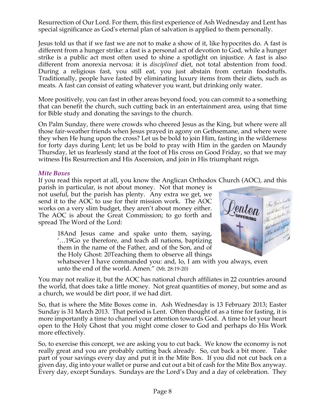Resurrection of Our Lord. For them, this first experience of Ash Wednesday and Lent has special significance as God's eternal plan of salvation is applied to them personally.

Jesus told us that if we fast we are not to make a show of it, like hypocrites do. A fast is different from a hunger strike: a fast is a personal act of devotion to God, while a hunger strike is a public act most often used to shine a spotlight on injustice. A fast is also different from anorexia nervosa: it is *disciplined* diet, not total abstention from food. During a religious fast, you still eat, you just abstain from certain foodstuffs. Traditionally, people have fasted by eliminating luxury items from their diets, such as meats. A fast can consist of eating whatever you want, but drinking only water.

More positively, you can fast in other areas beyond food, you can commit to a something that can benefit the church, such cutting back in an entertainment area, using that time for Bible study and donating the savings to the church.

On Palm Sunday, there were crowds who cheered Jesus as the King, but where were all those fair-weather friends when Jesus prayed in agony on Gethsemane, and where were they when He hung upon the cross? Let us be bold to join Him, fasting in the wilderness for forty days during Lent; let us be bold to pray with Him in the garden on Maundy Thursday, let us fearlessly stand at the foot of His cross on Good Friday, so that we may witness His Resurrection and His Ascension, and join in His triumphant reign.

#### *Mite Boxes*

If you read this report at all, you know the Anglican Orthodox Church (AOC), and this

parish in particular, is not about money. Not that money is not useful, but the parish has plenty. Any extra we get, we send it to the AOC to use for their mission work. The AOC works on a very slim budget, they aren't about money either. The AOC is about the Great Commission; to go forth and spread The Word of the Lord:

> 18And Jesus came and spake unto them, saying, '…19Go ye therefore, and teach all nations, baptizing them in the name of the Father, and of the Son, and of the Holy Ghost: 20Teaching them to observe all things



whatsoever I have commanded you: and, lo, I am with you always, even unto the end of the world. Amen." (Mt. 28:19-20)

You may not realize it, but the AOC has national church affiliates in 22 countries around the world, that does take a little money. Not great quantities of money, but some and as a church, we would be dirt poor, if we had dirt.

So, that is where the Mite Boxes come in. Ash Wednesday is 13 February 2013; Easter Sunday is 31 March 2013. That period is Lent. Often thought of as a time for fasting, it is more importantly a time to channel your attention towards God. A time to let your heart open to the Holy Ghost that you might come closer to God and perhaps do His Work more effectively.

So, to exercise this concept, we are asking you to cut back. We know the economy is not really great and you are probably cutting back already. So, cut back a bit more. Take part of your savings every day and put it in the Mite Box. If you did not cut back on a given day, dig into your wallet or purse and cut out a bit of cash for the Mite Box anyway. Every day, except Sundays. Sundays are the Lord's Day and a day of celebration. They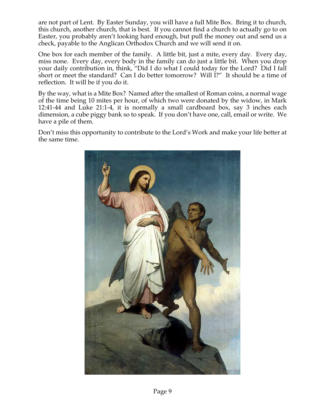are not part of Lent. By Easter Sunday, you will have a full Mite Box. Bring it to church, this church, another church, that is best. If you cannot find a church to actually go to on Easter, you probably aren't looking hard enough, but pull the money out and send us a check, payable to the Anglican Orthodox Church and we will send it on.

One box for each member of the family. A little bit, just a mite, every day. Every day, miss none. Every day, every body in the family can do just a little bit. When you drop your daily contribution in, think, "Did I do what I could today for the Lord? Did I fall short or meet the standard? Can I do better tomorrow? Will I?" It should be a time of reflection. It will be if you do it.

By the way, what is a Mite Box? Named after the smallest of Roman coins, a normal wage of the time being 10 mites per hour, of which two were donated by the widow, in Mark 12:41-44 and Luke 21:1-4, it is normally a small cardboard box, say 3 inches each dimension, a cube piggy bank so to speak. If you don't have one, call, email or write. We have a pile of them.

Don't miss this opportunity to contribute to the Lord's Work and make your life better at the same time.

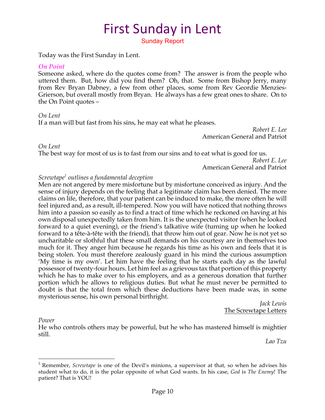# First Sunday in Lent

Sunday Report

Today was the First Sunday in Lent.

#### *On Point*

Someone asked, where do the quotes come from? The answer is from the people who uttered them. But, how did you find them? Oh, that. Some from Bishop Jerry, many from Rev Bryan Dabney, a few from other places, some from Rev Geordie Menzies-Grierson, but overall mostly from Bryan. He always has a few great ones to share. On to the On Point quotes –

#### *On Lent*

If a man will but fast from his sins, he may eat what he pleases.

*Robert E. Lee* American General and Patriot

#### *On Lent*

The best way for most of us is to fast from our sins and to eat what is good for us.

*Robert E. Lee* American General and Patriot

#### *Screwtape1 outlines a fundamental deception*

Men are not angered by mere misfortune but by misfortune conceived as injury. And the sense of injury depends on the feeling that a legitimate claim has been denied. The more claims on life, therefore, that your patient can be induced to make, the more often he will feel injured and, as a result, ill-tempered. Now you will have noticed that nothing throws him into a passion so easily as to find a tract of time which he reckoned on having at his own disposal unexpectedly taken from him. It is the unexpected visitor (when he looked forward to a quiet evening), or the friend's talkative wife (turning up when he looked forward to a tête-à-tête with the friend), that throw him out of gear. Now he is not yet so uncharitable or slothful that these small demands on his courtesy are in themselves too much for it. They anger him because he regards his time as his own and feels that it is being stolen. You must therefore zealously guard in his mind the curious assumption 'My time is my own'. Let him have the feeling that he starts each day as the lawful possessor of twenty-four hours. Let him feel as a grievous tax that portion of this property which he has to make over to his employers, and as a generous donation that further portion which he allows to religious duties. But what he must never be permitted to doubt is that the total from which these deductions have been made was, in some mysterious sense, his own personal birthright.

*Jack Lewis* The Screwtape Letters

#### *Power*

He who controls others may be powerful, but he who has mastered himself is mightier still.

*Lao Tzu*

 <sup>1</sup> Remember, *Screwtape* is one of the Devil's minions, <sup>a</sup> supervisor at that, so when he advises his student what to do, it is the polar opposite of what God wants. In his case, *God* is *The Enemy*! The patient? That is YOU!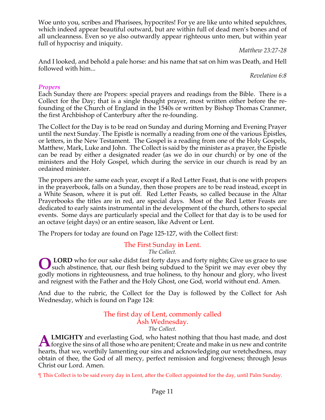Woe unto you, scribes and Pharisees, hypocrites! For ye are like unto whited sepulchres, which indeed appear beautiful outward, but are within full of dead men's bones and of all uncleanness. Even so ye also outwardly appear righteous unto men, but within year full of hypocrisy and iniquity.

*Matthew 23:27-28*

And I looked, and behold a pale horse: and his name that sat on him was Death, and Hell followed with him...

*Revelation 6:8*

# *Propers*

Each Sunday there are Propers: special prayers and readings from the Bible. There is a Collect for the Day; that is a single thought prayer, most written either before the refounding of the Church of England in the 1540s or written by Bishop Thomas Cranmer, the first Archbishop of Canterbury after the re-founding.

The Collect for the Day is to be read on Sunday and during Morning and Evening Prayer until the next Sunday. The Epistle is normally a reading from one of the various Epistles, or letters, in the New Testament. The Gospel is a reading from one of the Holy Gospels, Matthew, Mark, Luke and John. The Collect is said by the minister as a prayer, the Epistle can be read by either a designated reader (as we do in our church) or by one of the ministers and the Holy Gospel, which during the service in our church is read by an ordained minister.

The propers are the same each year, except if a Red Letter Feast, that is one with propers in the prayerbook, falls on a Sunday, then those propers are to be read instead, except in a White Season, where it is put off. Red Letter Feasts, so called because in the Altar Prayerbooks the titles are in red, are special days. Most of the Red Letter Feasts are dedicated to early saints instrumental in the development of the church, others to special events. Some days are particularly special and the Collect for that day is to be used for an octave (eight days) or an entire season, like Advent or Lent.

The Propers for today are found on Page 125-127, with the Collect first:

# The First Sunday in Lent.

*The Collect.*

**LORD** who for our sake didst fast forty days and forty nights; Give us grace to use such abstinence, that, our flesh being subdued to the Spirit we may ever obey thy godly motions in righteousness, and true holiness, to thy honour and glory, who livest and reignest with the Father and the Holy Ghost, one God, world without end. Amen. **O**

And due to the rubric, the Collect for the Day is followed by the Collect for Ash Wednesday, which is found on Page 124:

#### The first day of Lent, commonly called Ash Wednesday. *The Collect.*

**LMIGHTY** and everlasting God, who hatest nothing that thou hast made, and dost **ALMIGHTY** and everlasting God, who hatest nothing that thou hast made, and dost forgive the sins of all those who are penitent; Create and make in us new and contrite hearts, that we, worthily lamenting our sins and acknowledging our wretchedness, may obtain of thee, the God of all mercy, perfect remission and forgiveness; through Jesus Christ our Lord. Amen.

¶ This Collect is to be said every day in Lent, after the Collect appointed for the day, until Palm Sunday.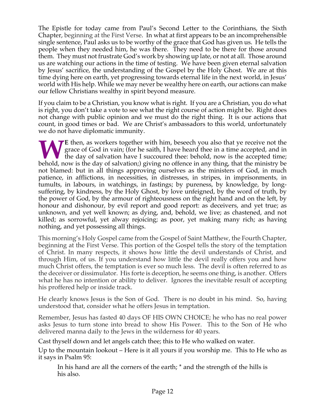The Epistle for today came from Paul's Second Letter to the Corinthians, the Sixth Chapter, beginning at the First Verse. In what at first appears to be an incomprehensible single sentence, Paul asks us to be worthy of the grace that God has given us. He tells the people when they needed him, he was there. They need to be there for those around them. They must not frustrate God's work by showing up late, or not at all. Those around us are watching our actions in the time of testing. We have been given eternal salvation by Jesus' sacrifice, the understanding of the Gospel by the Holy Ghost. We are at this time dying here on earth, yet progressing towards eternal life in the next world, in Jesus' world with His help. While we may never be wealthy here on earth, our actions can make our fellow Christians wealthy in spirit beyond measure.

If you claim to be a Christian, you know what is right. If you are a Christian, you do what is right, you don't take a vote to see what the right course of action might be. Right does not change with public opinion and we must do the right thing. It is our actions that count, in good times or bad. We are Christ's ambassadors to this world, unfortunately we do not have diplomatic immunity.

E then, as workers together with him, beseech you also that ye receive not the grace of God in vain; (for he saith, I have heard thee in a time accepted, and in the day of salvation have I succoured thee: behold, now is th grace of God in vain; (for he saith, I have heard thee in a time accepted, and in The day of salvation have I succoured thee: behold, now is the accepted time; behold, now is the day of salvation;) giving no offence in any thing, that the ministry be not blamed: but in all things approving ourselves as the ministers of God, in much patience, in afflictions, in necessities, in distresses, in stripes, in imprisonments, in tumults, in labours, in watchings, in fastings; by pureness, by knowledge, by longsuffering, by kindness, by the Holy Ghost, by love unfeigned, by the word of truth, by the power of God, by the armour of righteousness on the right hand and on the left, by honour and dishonour, by evil report and good report: as deceivers, and yet true; as unknown, and yet well known; as dying, and, behold, we live; as chastened, and not killed; as sorrowful, yet alway rejoicing; as poor, yet making many rich; as having nothing, and yet possessing all things.

This morning's Holy Gospel came from the Gospel of Saint Matthew, the Fourth Chapter, beginning at the First Verse. This portion of the Gospel tells the story of the temptation of Christ. In many respects, it shows how little the devil understands of Christ, and through Him, of us. If you understand how little the devil really offers you and how much Christ offers, the temptation is ever so much less. The devil is often referred to as the deceiver or dissimulator. His forte is deception, he seems one thing, is another. Offers what he has no intention or ability to deliver. Ignores the inevitable result of accepting his proffered help or inside track.

He clearly knows Jesus is the Son of God. There is no doubt in his mind. So, having understood that, consider what he offers Jesus in temptation.

Remember, Jesus has fasted 40 days OF HIS OWN CHOICE; he who has no real power asks Jesus to turn stone into bread to show His Power. This to the Son of He who delivered manna daily to the Jews in the wilderness for 40 years.

Cast thyself down and let angels catch thee; this to He who walked on water.

Up to the mountain lookout – Here is it all yours if you worship me. This to He who as it says in Psalm 95:

In his hand are all the corners of the earth; \* and the strength of the hills is his also.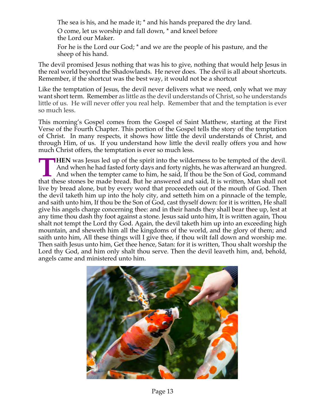The sea is his, and he made it; \* and his hands prepared the dry land.

O come, let us worship and fall down, \* and kneel before the Lord our Maker. For he is the Lord our God; \* and we are the people of his pasture, and the sheep of his hand.

The devil promised Jesus nothing that was his to give, nothing that would help Jesus in the real world beyond the Shadowlands. He never does. The devil is all about shortcuts. Remember, if the shortcut was the best way, it would not be a shortcut

Like the temptation of Jesus, the devil never delivers what we need, only what we may want short term. Remember as little as the devil understands of Christ, so he understands little of us. He will never offer you real help. Remember that and the temptation is ever so much less.

This morning's Gospel comes from the Gospel of Saint Matthew, starting at the First Verse of the Fourth Chapter. This portion of the Gospel tells the story of the temptation of Christ. In many respects, it shows how little the devil understands of Christ, and through Him, of us. If you understand how little the devil really offers you and how much Christ offers, the temptation is ever so much less.

**HEN** was Jesus led up of the spirit into the wilderness to be tempted of the devil. And when he had fasted forty days and forty nights, he was afterward an hungred. And when the tempter came to him, he said, If thou be the Son of God, command **THEN** was Jesus led up of the spirit into the wilderness to be tempted of the devil.<br>And when he had fasted forty days and forty nights, he was afterward an hungred.<br>And when the tempter came to him, he said, If thou be t live by bread alone, but by every word that proceedeth out of the mouth of God. Then the devil taketh him up into the holy city, and setteth him on a pinnacle of the temple, and saith unto him, If thou be the Son of God, cast thyself down: for it is written, He shall give his angels charge concerning thee: and in their hands they shall bear thee up, lest at any time thou dash thy foot against a stone. Jesus said unto him, It is written again, Thou shalt not tempt the Lord thy God. Again, the devil taketh him up into an exceeding high mountain, and sheweth him all the kingdoms of the world, and the glory of them; and saith unto him, All these things will I give thee, if thou wilt fall down and worship me. Then saith Jesus unto him, Get thee hence, Satan: for it is written, Thou shalt worship the Lord thy God, and him only shalt thou serve. Then the devil leaveth him, and, behold, angels came and ministered unto him.

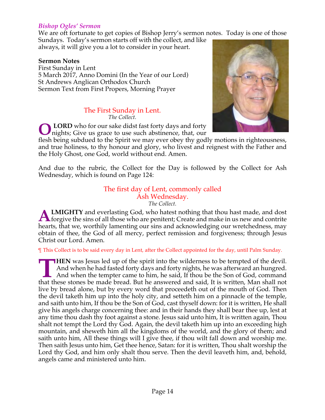#### *Bishop Ogles' Sermon*

We are oft fortunate to get copies of Bishop Jerry's sermon notes. Today is one of those

Sundays. Today's sermon starts off with the collect, and like always, it will give you a lot to consider in your heart.

#### **Sermon Notes**

First Sunday in Lent 5 March 2017, Anno Domini (In the Year of our Lord) St Andrews Anglican Orthodox Church Sermon Text from First Propers, Morning Prayer

#### The First Sunday in Lent. *The Collect.*

**LORD** who for our sake didst fast forty days and forty nights; Give us grace to use such abstinence, that, our **O**



flesh being subdued to the Spirit we may ever obey thy godly motions in righteousness, and true holiness, to thy honour and glory, who livest and reignest with the Father and the Holy Ghost, one God, world without end. Amen.

And due to the rubric, the Collect for the Day is followed by the Collect for Ash Wednesday, which is found on Page 124:

#### The first day of Lent, commonly called Ash Wednesday. *The Collect.*

**LMIGHTY** and everlasting God, who hatest nothing that thou hast made, and dost **ALMIGHTY** and everlasting God, who hatest nothing that thou hast made, and dost forgive the sins of all those who are penitent; Create and make in us new and contrite hearts, that we, worthily lamenting our sins and acknowledging our wretchedness, may obtain of thee, the God of all mercy, perfect remission and forgiveness; through Jesus Christ our Lord. Amen.

¶ This Collect is to be said every day in Lent, after the Collect appointed for the day, until Palm Sunday.

**HEN** was Jesus led up of the spirit into the wilderness to be tempted of the devil. And when he had fasted forty days and forty nights, he was afterward an hungred. And when the tempter came to him, he said, If thou be the Son of God, command **THEN** was Jesus led up of the spirit into the wilderness to be tempted of the devil.<br>And when he had fasted forty days and forty nights, he was afterward an hungred.<br>And when the tempter came to him, he said, If thou be t live by bread alone, but by every word that proceedeth out of the mouth of God. Then the devil taketh him up into the holy city, and setteth him on a pinnacle of the temple, and saith unto him, If thou be the Son of God, cast thyself down: for it is written, He shall give his angels charge concerning thee: and in their hands they shall bear thee up, lest at any time thou dash thy foot against a stone. Jesus said unto him, It is written again, Thou shalt not tempt the Lord thy God. Again, the devil taketh him up into an exceeding high mountain, and sheweth him all the kingdoms of the world, and the glory of them; and saith unto him, All these things will I give thee, if thou wilt fall down and worship me. Then saith Jesus unto him, Get thee hence, Satan: for it is written, Thou shalt worship the Lord thy God, and him only shalt thou serve. Then the devil leaveth him, and, behold, angels came and ministered unto him.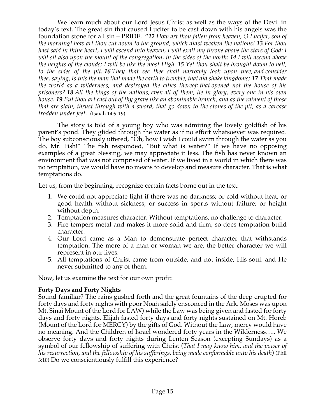We learn much about our Lord Jesus Christ as well as the ways of the Devil in today's text. The great sin that caused Lucifer to be cast down with his angels was the foundation stone for all sin – PRIDE. "*12 How art thou fallen from heaven, O Lucifer, son of the morning! how art thou cut down to the ground, which didst weaken the nations! 13 For thou hast said in thine heart, I will ascend into heaven, I will exalt my throne above the stars of God: I will sit also upon the mount of the congregation, in the sides of the north: 14 I will ascend above the heights of the clouds; I will be like the most High. 15 Yet thou shalt be brought down to hell, to the sides of the pit. 16 They that see thee shall narrowly look upon thee, and consider thee, saying, Is this the man that made the earth to tremble, that did shake kingdoms; 17 That made the world as a wilderness, and destroyed the cities thereof; that opened not the house of his prisoners? 18 All the kings of the nations, even all of them, lie in glory, every one in his own house. 19 But thou art cast out of thy grave like an abominable branch, and as the raiment of those that are slain, thrust through with a sword, that go down to the stones of the pit; as a carcase trodden under feet*. (Isaiah 14:9-19)

The story is told of a young boy who was admiring the lovely goldfish of his parent's pond. They glided through the water as if no effort whatsoever was required. The boy subconsciously uttered, "Oh, how I wish I could swim through the water as you do, Mr. Fish!" The fish responded, "But what is water?" If we have no opposing examples of a great blessing, we may appreciate it less. The fish has never known an environment that was not comprised of water. If we lived in a world in which there was no temptation, we would have no means to develop and measure character. That is what temptations do.

Let us, from the beginning, recognize certain facts borne out in the text:

- 1. We could not appreciate light if there was no darkness; or cold without heat, or good health without sickness; or success in sports without failure; or height without depth.
- 2. Temptation measures character. Without temptations, no challenge to character.
- 3. Fire tempers metal and makes it more solid and firm; so does temptation build character.
- 4. Our Lord came as a Man to demonstrate perfect character that withstands temptation. The more of a man or woman we are, the better character we will represent in our lives.
- 5. All temptations of Christ came from outside, and not inside, His soul: and He never submitted to any of them.

Now, let us examine the text for our own profit:

# **Forty Days and Forty Nights**

Sound familiar? The rains gushed forth and the great fountains of the deep erupted for forty days and forty nights with poor Noah safely ensconced in the Ark. Moses was upon Mt. Sinai Mount of the Lord for LAW) while the Law was being given and fasted for forty days and forty nights. Elijah fasted forty days and forty nights sustained on Mt. Horeb (Mount of the Lord for MERCY) by the gifts of God. Without the Law, mercy would have no meaning. And the Children of Israel wondered forty years in the Wilderness….. We observe forty days and forty nights during Lenten Season (excepting Sundays) as a symbol of our fellowship of suffering with Christ (*That I may know him, and the power of his resurrection, and the fellowship of his sufferings, being made conformable unto his death*) (Phil 3:10) Do we conscientiously fulfill this experience?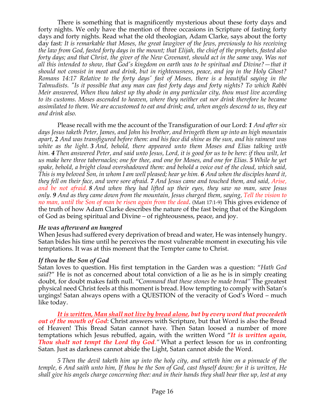There is something that is magnificently mysterious about these forty days and forty nights. We only have the mention of three occasions in Scripture of fasting forty days and forty nights. Read what the old theologian, Adam Clarke, says about the forty day fast*: It is remarkable that Moses, the great lawgiver of the Jews, previously to his receiving the law from God, fasted forty days in the mount; that Elijah, the chief of the prophets, fasted also forty days; and that Christ, the giver of the New Covenant, should act in the same way. Was not all this intended to show, that God's kingdom on earth was to be spiritual and Divine?—that it should not consist in meat and drink, but in righteousness, peace, and joy in the Holy Ghost? Romans 14:17 Relative to the forty days' fast of Moses, there is a beautiful saying in the Talmudists. "Is it possible that any man can fast forty days and forty nights? To which Rabbi Meir answered, When thou takest up thy abode in any particular city, thou must live according to its customs. Moses ascended to heaven, where they neither eat nor drink therefore he became assimilated to them. We are accustomed to eat and drink; and, when angels descend to us, they eat and drink also.*

Please recall with me the account of the Transfiguration of our Lord: *1 And after six days Jesus taketh Peter, James, and John his brother, and bringeth them up into an high mountain apart, 2 And was transfigured before them: and his face did shine as the sun, and his raiment was white as the light. 3 And, behold, there appeared unto them Moses and Elias talking with him. 4 Then answered Peter, and said unto Jesus, Lord, it is good for us to be here: if thou wilt, let us make here three tabernacles; one for thee, and one for Moses, and one for Elias. 5 While he yet spake, behold, a bright cloud overshadowed them: and behold a voice out of the cloud, which said, This is my beloved Son, in whom I am well pleased; hear ye him. 6 And when the disciples heard it, they fell on their face, and were sore afraid. 7 And Jesus came and touched them, and said, Arise, and be not afraid. 8 And when they had lifted up their eyes, they saw no man, save Jesus only. 9 And as they came down from the mountain, Jesus charged them, saying, Tell the vision to no man, until the Son of man be risen again from the dead*. (Matt 17:1-9) This gives evidence of the truth of how Adam Clarke describes the nature of the fast being that of the Kingdom of God as being spiritual and Divine – of righteousness, peace, and joy.

#### *He was afterward an hungred*

When Jesus had suffered every deprivation of bread and water, He was intensely hungry. Satan bides his time until he perceives the most vulnerable moment in executing his vile temptations. It was at this moment that the Tempter came to Christ.

#### *If thou be the Son of God*

Satan loves to question. His first temptation in the Garden was a question: "*Hath God said*?" He is not as concerned about total conviction of a lie as he is in simply creating doubt, for doubt makes faith null. "C*ommand that these stones be made bread"* The greatest physical need Christ feels at this moment is bread. How tempting to comply with Satan's urgings! Satan always opens with a QUESTION of the veracity of God's Word – much like today.

*It is written, Man shall not live by bread alone, but by every word that proceedeth out of the mouth of God*: Christ answers with Scripture, but that Word is also the Bread of Heaven! This Bread Satan cannot have. Then Satan loosed a number of more temptations which Jesus rebuffed, again, with the written Word "*It is written again, Thou shalt not tempt the Lord thy God.*" What a perfect lesson for us in confronting Satan. Just as darkness cannot abide the Light, Satan cannot abide the Word.

*5 Then the devil taketh him up into the holy city, and setteth him on a pinnacle of the temple, 6 And saith unto him, If thou be the Son of God, cast thyself down: for it is written, He shall give his angels charge concerning thee: and in their hands they shall bear thee up, lest at any*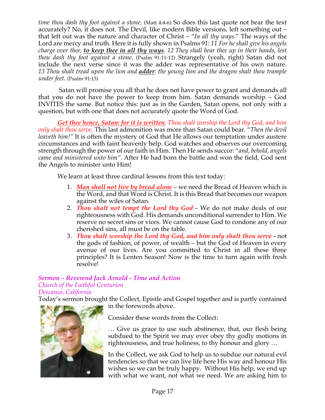*time thou dash thy foot against a stone*. (Matt 4:4-6) So does this last quote not bear the text accurately? No, it does not. The Devil, like modern Bible versions, left something out – that left out was the nature and character of Christ – "*In all thy ways*." The ways of the Lord are mercy and truth. Here it is fully shown in Psalms 91: *11 For he shall give his angels charge over thee, to keep thee in all thy ways. 12 They shall bear thee up in their hands, lest thou dash thy foot against a stone.* (Psalm 91:11-12) Strangely (yeah, right) Satan did not include the next verse since it was the adder was representative of his own nature. *13 Thou shalt tread upon the lion and adder: the young lion and the dragon shalt thou trample under feet*. (Psalm 91:13)

Satan will promise you all that he does not have power to grant and demands all that you do not have the power to keep from him. Satan demands worship – God INVITES the same. But notice this: just as in the Garden, Satan opens, not only with a question, but with one that does not accurately quote the Word of God.

*Get thee hence, Satan: for it is written, Thou shalt worship the Lord thy God, and him only shalt thou serve.* This last admonition was more than Satan could bear. "*Then the devil leaveth him!"* It is often the mystery of God that He allows our temptation under austere circumstances and with faint heavenly help. God watches and observes our overcoming strength through the power of our faith in Him. Then He sends succor: "*and, behold, angels came and ministered unto him".* After He had born the battle and won the field, God sent the Angels to minister unto Him!

We learn at least three cardinal lessons from this text today:

- 1. *Man shall not live by bread alone* we need the Bread of Heaven which is the Word, and that Word is Christ. It is this Bread that becomes our weapon against the wiles of Satan.
- 2. *Thou shalt not tempt the Lord thy God* We do not make deals of our righteousness with God. His demands unconditional surrender to Him. We reserve no secret sins or vices. We cannot cause God to condone any of our cherished sins, all must be on the table.
- 3. *Thou shalt worship the Lord thy God, and him only shalt thou serve -* not the gods of fashion, of power, of wealth – but the God of Heaven in every avenue of our lives. Are you committed to Christ in all these three principles? It is Lenten Season! Now is the time to turn again with fresh resolve!

# *Sermon – Reverend Jack Arnold - Time and Action Church of the Faithful Centurion*

*Descanso, California*

Today's sermon brought the Collect, Epistle and Gospel together and is partly contained in the forewords above.



Consider these words from the Collect:

… Give us grace to use such abstinence, that, our flesh being subdued to the Spirit we may ever obey thy godly motions in righteousness, and true holiness, to thy honour and glory …

In the Collect, we ask God to help us to subdue our natural evil tendencies so that we can live life here His way and honour His wishes so we can be truly happy. Without His help, we end up with what we want, not what we need. We are asking him to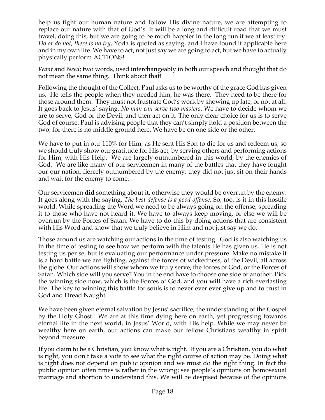help us fight our human nature and follow His divine nature, we are attempting to replace our nature with that of God's. It will be a long and difficult road that we must travel, doing this, but we are going to be much happier in the long run if we at least try. *Do or do not, there is no try*, Yoda is quoted as saying, and I have found it applicable here and in my own life. We have to act, not just say we are going to act, but we have to actually physically perform ACTIONS!

*Want* and *Need*; two words, used interchangeably in both our speech and thought that do not mean the same thing. Think about that!

Following the thought of the Collect, Paul asks us to be worthy of the grace God has given us. He tells the people when they needed him, he was there. They need to be there for those around them. They must not frustrate God's work by showing up late, or not at all. It goes back to Jesus' saying, *No man can serve two masters*. We have to decide whom we are to serve, God or the Devil, and then act on it. The only clear choice for us is to serve God of course. Paul is advising people that they can't simply hold a position between the two, for there is no middle ground here. We have be on one side or the other.

We have to put in our 110% for Him, as He sent His Son to die for us and redeem us, so we should truly show our gratitude for His act, by serving others and performing actions for Him, with His Help. We are largely outnumbered in this world, by the enemies of God. We are like many of our servicemen in many of the battles that they have fought our our nation, fiercely outnumbered by the enemy, they did not just sit on their hands and wait for the enemy to come.

Our servicemen **did** something about it, otherwise they would be overrun by the enemy. It goes along with the saying, *The best defense is a good offense*. So, too, is it in this hostile world. While spreading the Word we need to be always going on the offense, spreading it to those who have not heard it. We have to always keep moving, or else we will be overrun by the Forces of Satan. We have to do this by doing actions that are consistent with His Word and show that we truly believe in Him and not just say we do.

Those around us are watching our actions in the time of testing. God is also watching us in the time of testing to see how we perform with the talents He has given us. He is not testing us per se, but is evaluating our performance under pressure. Make no mistake it is a hard battle we are fighting, against the forces of wickedness, of the Devil, all across the globe. Our actions will show whom we truly serve, the forces of God, or the Forces of Satan. Which side will you serve? You in the end have to choose one side or another. Pick the winning side now, which is the Forces of God, and you will have a rich everlasting life. The key to winning this battle for souls is to never ever ever give up and to trust in God and Dread Naught.

We have been given eternal salvation by Jesus' sacrifice, the understanding of the Gospel by the Holy Ghost. We are at this time dying here on earth, yet progressing towards eternal life in the next world, in Jesus' World, with His help. While we may never be wealthy here on earth, our actions can make our fellow Christians wealthy in spirit beyond measure.

If you claim to be a Christian, you know what is right. If you are a Christian, you do what is right, you don't take a vote to see what the right course of action may be. Doing what is right does not depend on public opinion and we must do the right thing. In fact the public opinion often times is rather in the wrong; see people's opinions on homosexual marriage and abortion to understand this. We will be despised because of the opinions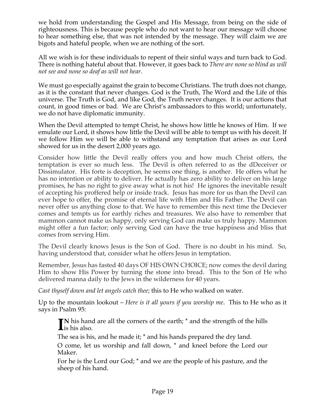we hold from understanding the Gospel and His Message, from being on the side of righteousness. This is because people who do not want to hear our message will choose to hear something else, that was not intended by the message. They will claim we are bigots and hateful people, when we are nothing of the sort.

All we wish is for these individuals to repent of their sinful ways and turn back to God. There is nothing hateful about that. However, it goes back to *There are none so blind as will not see and none so deaf as will not hear*.

We must go especially against the grain to become Christians. The truth does not change, as it is the constant that never changes. God is the Truth, The Word and the Life of this universe. The Truth is God, and like God, the Truth never changes. It is our actions that count, in good times or bad. We are Christ's ambassadors to this world; unfortunately, we do not have diplomatic immunity.

When the Devil attempted to tempt Christ, he shows how little he knows of Him. If we emulate our Lord, it shows how little the Devil will be able to tempt us with his deceit. If we follow Him we will be able to withstand any temptation that arises as our Lord showed for us in the desert 2,000 years ago.

Consider how little the Devil really offers you and how much Christ offers, the temptation is ever so much less. The Devil is often referred to as the dDeceiver or Dissimulator. His forte is deception, he seems one thing, is another. He offers what he has no intention or ability to deliver. He actually has zero ability to deliver on his large promises, he has no right to give away what is not his! He ignores the inevitable result of accepting his proffered help or inside track. Jesus has more for us than the Devil can ever hope to offer, the promise of eternal life with Him and His Father. The Devil can never offer us anything close to that. We have to remember this next time the Deciever comes and tempts us for earthly riches and treasures. We also have to remember that mammon cannot make us happy, only serving God can make us truly happy. Mammon might offer a fun factor; only serving God can have the true happiness and bliss that comes from serving Him.

The Devil clearly knows Jesus is the Son of God. There is no doubt in his mind. So, having understood that, consider what he offers Jesus in temptation.

Remember, Jesus has fasted 40 days OF HIS OWN CHOICE; now comes the devil daring Him to show His Power by turning the stone into bread. This to the Son of He who delivered manna daily to the Jews in the wilderness for 40 years.

*Cast thyself down and let angels catch thee*; this to He who walked on water.

Up to the mountain lookout – *Here is it all yours if you worship me*. This to He who as it says in Psalm 95:

**N** his hand are all the corners of the earth; \* and the strength of the hills IN his hand<br>is his also.

The sea is his, and he made it; \* and his hands prepared the dry land.

O come, let us worship and fall down, \* and kneel before the Lord our Maker.

For he is the Lord our God; \* and we are the people of his pasture, and the sheep of his hand.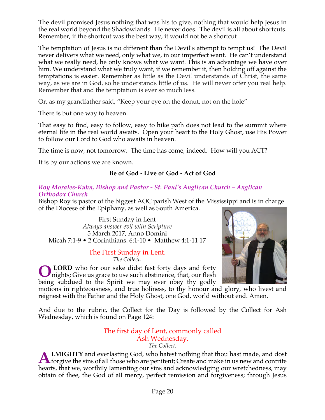The devil promised Jesus nothing that was his to give, nothing that would help Jesus in the real world beyond the Shadowlands. He never does. The devil is all about shortcuts. Remember, if the shortcut was the best way, it would not be a shortcut

The temptation of Jesus is no different than the Devil's attempt to tempt us! The Devil never delivers what we need, only what we, in our imperfect want. He can't understand what we really need, he only knows what we want. This is an advantage we have over him. We understand what we truly want, if we remember it, then holding off against the temptations is easier. Remember as little as the Devil understands of Christ, the same way, as we are in God, so he understands little of us. He will never offer you real help. Remember that and the temptation is ever so much less.

Or, as my grandfather said, "Keep your eye on the donut, not on the hole"

There is but one way to heaven.

That easy to find, easy to follow, easy to hike path does not lead to the summit where eternal life in the real world awaits. Open your heart to the Holy Ghost, use His Power to follow our Lord to God who awaits in heaven.

The time is now, not tomorrow. The time has come, indeed. How will you ACT?

It is by our actions we are known.

# **Be of God - Live of God - Act of God**

#### *Roy Morales-Kuhn, Bishop and Pastor - St. Paul's Anglican Church – Anglican Orthodox Church*

Bishop Roy is pastor of the biggest AOC parish West of the Mississippi and is in charge of the Diocese of the Epiphany, as well as South America.

First Sunday in Lent *Always answer evil with Scripture* 5 March 2017, Anno Domini Micah 7:1-9 • 2 Corinthians. 6:1-10 • Matthew 4:1-11 17

#### The First Sunday in Lent. *The Collect.*

**LORD** who for our sake didst fast forty days and forty nights; Give us grace to use such abstinence, that, our flesh being subdued to the Spirit we may ever obey thy godly **O**



motions in righteousness, and true holiness, to thy honour and glory, who livest and reignest with the Father and the Holy Ghost, one God, world without end. Amen.

And due to the rubric, the Collect for the Day is followed by the Collect for Ash Wednesday, which is found on Page 124:

# The first day of Lent, commonly called Ash Wednesday.

*The Collect.*

**LMIGHTY** and everlasting God, who hatest nothing that thou hast made, and dost **ALMIGHTY** and everlasting God, who hatest nothing that thou hast made, and dost forgive the sins of all those who are penitent; Create and make in us new and contrite hearts, that we, worthily lamenting our sins and acknowledging our wretchedness, may obtain of thee, the God of all mercy, perfect remission and forgiveness; through Jesus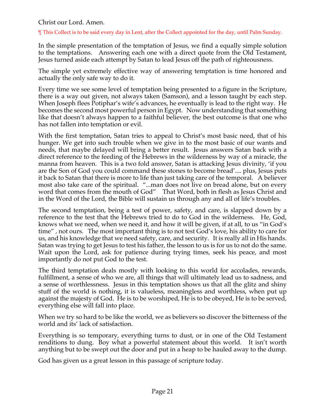Christ our Lord. Amen.

¶ This Collect is to be said every day in Lent, after the Collect appointed for the day, until Palm Sunday.

In the simple presentation of the temptation of Jesus, we find a equally simple solution to the temptations. Answering each one with a direct quote from the Old Testament, Jesus turned aside each attempt by Satan to lead Jesus off the path of righteousness.

The simple yet extremely effective way of answering temptation is time honored and actually the only safe way to do it.

Every time we see some level of temptation being presented to a figure in the Scripture, there is a way out given, not always taken (Samson), and a lesson taught by each step. When Joseph flees Potiphar's wife's advances, he eventually is lead to the right way. He becomes the second most powerful person in Egypt. Now understanding that something like that doesn't always happen to a faithful believer, the best outcome is that one who has not fallen into temptation or evil.

With the first temptation, Satan tries to appeal to Christ's most basic need, that of his hunger. We get into such trouble when we give in to the most basic of our wants and needs, that maybe delayed will bring a better result. Jesus answers Satan back with a direct reference to the feeding of the Hebrews in the wilderness by way of a miracle, the manna from heaven. This is a two fold answer, Satan is attacking Jesus divinity, 'if you are the Son of God you could command these stones to become bread'.... plus, Jesus puts it back to Satan that there is more to life than just taking care of the temporal. A believer most also take care of the spiritual. "...man does not live on bread alone, but on every word that comes from the mouth of God" That Word, both in flesh as Jesus Christ and in the Word of the Lord, the Bible will sustain us through any and all of life's troubles.

The second temptation, being a test of power, safety, and care, is slapped down by a reference to the test that the Hebrews tried to do to God in the wilderness. He, God, knows what we need, when we need it, and how it will be given, if at all, to us "in God's time" , not ours. The most important thing is to not test God's love, his ability to care for us, and his knowledge that we need safety, care, and security. It is really all in His hands. Satan was trying to get Jesus to test his father, the lesson to us is for us to not do the same. Wait upon the Lord, ask for patience during trying times, seek his peace, and most importantly do not put God to the test.

The third temptation deals mostly with looking to this world for accolades, rewards, fulfillment, a sense of who we are, all things that will ultimately lead us to sadness, and a sense of worthlessness. Jesus in this temptation shows us that all the glitz and shiny stuff of the world is nothing, it is valueless, meaningless and worthless, when put up against the majesty of God. He is to be worshiped, He is to be obeyed, He is to be served, everything else will fall into place.

When we try so hard to be like the world, we as believers so discover the bitterness of the world and its' lack of satisfaction.

Everything is so temporary, everything turns to dust, or in one of the Old Testament renditions to dung. Boy what a powerful statement about this world. It isn't worth anything but to be swept out the door and put in a heap to be hauled away to the dump.

God has given us a great lesson in this passage of scripture today.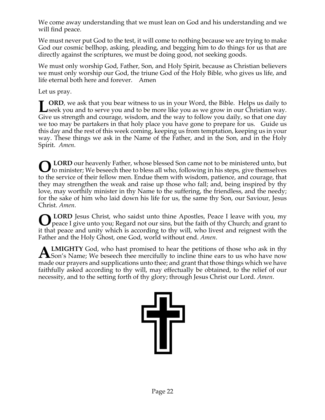We come away understanding that we must lean on God and his understanding and we will find peace.

We must never put God to the test, it will come to nothing because we are trying to make God our cosmic bellhop, asking, pleading, and begging him to do things for us that are directly against the scriptures, we must be doing good, not seeking goods.

We must only worship God, Father, Son, and Holy Spirit, because as Christian believers we must only worship our God, the triune God of the Holy Bible, who gives us life, and life eternal both here and forever. Amen

Let us pray.

**ORD**, we ask that you bear witness to us in your Word, the Bible. Helps us daily to **L** ORD, we ask that you bear witness to us in your Word, the Bible. Helps us daily to seek you and to serve you and to be more like you as we grow in our Christian way. Give us strength and courage, wisdom, and the way to follow you daily, so that one day we too may be partakers in that holy place you have gone to prepare for us. Guide us this day and the rest of this week coming, keeping us from temptation, keeping us in your way. These things we ask in the Name of the Father, and in the Son, and in the Holy Spirit. *Amen.*

**LORD** our heavenly Father, whose blessed Son came not to be ministered unto, but **O** LORD our heavenly Father, whose blessed Son came not to be ministered unto, but to minister; We beseech thee to bless all who, following in his steps, give themselves to the service of their fellow men. Endue them with wisdom, patience, and courage, that they may strengthen the weak and raise up those who fall; and, being inspired by thy love, may worthily minister in thy Name to the suffering, the friendless, and the needy; for the sake of him who laid down his life for us, the same thy Son, our Saviour, Jesus Christ. *Amen*.

**O** LORD Jesus Christ, who saidst unto thine Apostles, Peace I leave with you, my peace I give unto you; Regard not our sins, but the faith of thy Church; and grant to peace I give unto you; Regard not our sins, but the faith of thy Church; and grant to it that peace and unity which is according to thy will, who livest and reignest with the Father and the Holy Ghost, one God, world without end. *Amen*.

**LMIGHTY** God, who hast promised to hear the petitions of those who ask in thy **ALMIGHTY** God, who hast promised to hear the petitions of those who ask in thy Son's Name; We beseech thee mercifully to incline thine ears to us who have now made our prayers and supplications unto thee; and grant that those things which we have faithfully asked according to thy will, may effectually be obtained, to the relief of our necessity, and to the setting forth of thy glory; through Jesus Christ our Lord. *Amen*.

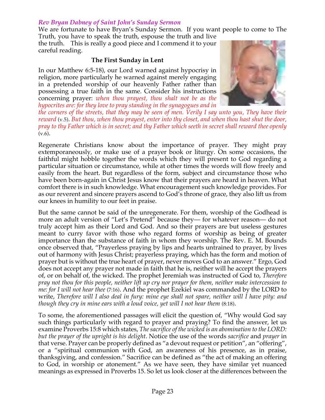#### *Rev Bryan Dabney of Saint John's Sunday Sermon*

We are fortunate to have Bryan's Sunday Sermon. If you want people to come to The Truth, you have to speak the truth, espouse the truth and live

the truth. This is really a good piece and I commend it to your careful reading.

#### **The First Sunday in Lent**

In our Matthew 6:5-18), our Lord warned against hypocrisy in religion, more particularly he warned against merely engaging in a pretended worship of our heavenly Father rather than possessing a true faith in the same. Consider his instructions concerning prayer: *when thou prayest, thou shalt not be as the hypocrites are: for they love to pray standing in the synagogues and in*



the corners of the streets, that they may be seen of men. Verily I say unto you, They have their *reward* (v.5). *But thou, when thou prayest, enter into thy closet, and when thou hast shut the door,* pray to thy Father which is in secret; and thy Father which seeth in secret shall reward thee openly (v.6).

Regenerate Christians know about the importance of prayer. They might pray extemporaneously, or make use of a prayer book or liturgy. On some occasions, the faithful might hobble together the words which they will present to God regarding a particular situation or circumstance, while at other times the words will flow freely and easily from the heart. But regardless of the form, subject and circumstance those who have been born-again in Christ Jesus know that their prayers are heard in heaven. What comfort there is in such knowledge. What encouragement such knowledge provides. For as our reverent and sincere prayers ascend to God's throne of grace, they also lift us from our knees in humility to our feet in praise.

But the same cannot be said of the unregenerate. For them, worship of the Godhead is more an adult version of "Let's Pretend" because they— for whatever reason— do not truly accept him as their Lord and God. And so their prayers are but useless gestures meant to curry favor with those who regard forms of worship as being of greater importance than the substance of faith in whom they worship. The Rev. E. M. Bounds once observed that, "Prayerless praying by lips and hearts untrained to prayer, by lives out of harmony with Jesus Christ; prayerless praying, which has the form and motion of prayer but is without the true heart of prayer, never moves God to an answer." Ergo, God does not accept any prayer not made in faith that he is, neither will he accept the prayers of, or on behalf of, the wicked. The prophet Jeremiah was instructed of God to, *Therefore* pray not thou for this people, neither lift up cry nor prayer for them, neither make intercession to *me: for I will not hear thee* (7:16). And the prophet Ezekiel was commanded by the LORD to write, *Therefore will I also deal in fury: mine eye shall not spare, neither will I have pity: and though they cry in mine ears with a loud voice, yet will I not hear them* (8:18).

To some, the aforementioned passages will elicit the question of, "Why would God say such things particularly with regard to prayer and praying? To find the answer, let us examine Proverbs 15:8 which states, *The sacrifice of the wicked is an abomination to the LORD: but the prayer of the upright is his delight*. Notice the use of the words *sacrifice* and *prayer* in that verse. Prayer can be properly defined as "a devout request or petition", an "offering", or a "spiritual communion with God, an awareness of his presence, as in praise, thanksgiving, and confession." Sacrifice can be defined as "the act of making an offering to God, in worship or atonement." As we have seen, they have similar yet nuanced meanings as expressed in Proverbs 15. So let us look closer at the differences between the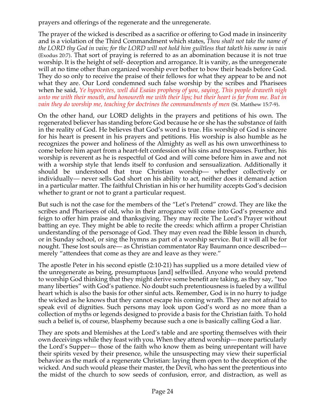prayers and offerings of the regenerate and the unregenerate.

The prayer of the wicked is described as a sacrifice or offering to God made in insincerity and is a violation of the Third Commandment which states, *Thou shalt not take the name of* the LORD thy God in vain; for the LORD will not hold him guiltless that taketh his name in vain (Exodus 20:7). That sort of praying is referred to as an abomination because it is not true worship. It is the height of self- deception and arrogance. It is vanity, as the unregenerate will at no time other than organized worship ever bother to bow their heads before God. They do so only to receive the praise of their fellows for what they appear to be and not what they are. Our Lord condemned such false worship by the scribes and Pharisees when he said, *Ye hypocrites, well did Esaias prophesy of you, saying, This people draweth nigh* unto me with their mouth, and honoureth me with their lips; but their heart is far from me. But in *vain they do worship me, teaching for doctrines the commandments of men* (St. Matthew 15:7-9).

On the other hand, our LORD delights in the prayers and petitions of his own. The regenerated believer has standing before God because he or she has the substance of faith in the reality of God. He believes that God's word is true. His worship of God is sincere for his heart is present in his prayers and petitions. His worship is also humble as he recognizes the power and holiness of the Almighty as well as his own unworthiness to come before him apart from a heart-felt confession of his sins and trespasses. Further, his worship is reverent as he is respectful of God and will come before him in awe and not with a worship style that lends itself to confusion and sensualization. Additionally it should be understood that true Christian worship— whether collectively or individually— never sells God short on his ability to act, neither does it demand action in a particular matter. The faithful Christian in his or her humility accepts God's decision whether to grant or not to grant a particular request.

But such is not the case for the members of the "Let's Pretend" crowd. They are like the scribes and Pharisees of old, who in their arrogance will come into God's presence and feign to offer him praise and thanksgiving. They may recite The Lord's Prayer without batting an eye. They might be able to recite the creeds: which affirm a proper Christian understanding of the personage of God. They may even read the Bible lesson in church, or in Sunday school, or sing the hymns as part of a worship service. But it will all be for nought. These lost souls are— as Christian commentator Ray Baumann once described merely "attendees that come as they are and leave as they were."

The apostle Peter in his second epistle (2:10-21) has supplied us a more detailed view of the unregenerate as being, presumptuous [and] selfwilled. Anyone who would pretend to worship God thinking that they might derive some benefit are taking, as they say, "too many liberties" with God's patience. No doubt such pretentiousness is fueled by a willful heart which is also the basis for other sinful acts. Remember, God is in no hurry to judge the wicked as he knows that they cannot escape his coming wrath. They are not afraid to speak evil of dignities. Such persons may look upon God's word as no more than a collection of myths or legends designed to provide a basis for the Christian faith. To hold such a belief is, of course, blasphemy because such a one is basically calling God a liar.

They are spots and blemishes at the Lord's table and are sporting themselves with their own deceivings while they feast with you. When they attend worship— more particularly the Lord's Supper— those of the faith who know them as being unrepentant will have their spirits vexed by their presence, while the unsuspecting may view their superficial behavior as the mark of a regenerate Christian: laying them open to the deception of the wicked. And such would please their master, the Devil, who has sent the pretentious into the midst of the church to sow seeds of confusion, error, and distraction, as well as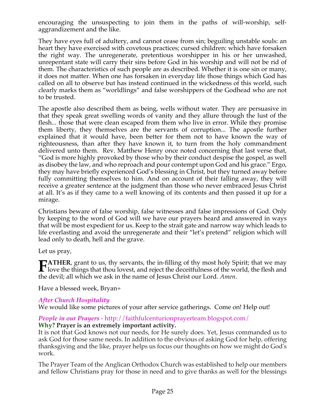encouraging the unsuspecting to join them in the paths of will-worship, selfaggrandizement and the like.

They have eyes full of adultery, and cannot cease from sin; beguiling unstable souls: an heart they have exercised with covetous practices; cursed children: which have forsaken the right way. The unregenerate, pretentious worshipper in his or her unwashed, unrepentant state will carry their sins before God in his worship and will not be rid of them. The characteristics of such people are as described. Whether it is one sin or many, it does not matter. When one has forsaken in everyday life those things which God has called on all to observe but has instead continued in the wickedness of this world, such clearly marks them as "worldlings" and false worshippers of the Godhead who are not to be trusted.

The apostle also described them as being, wells without water. They are persuasive in that they speak great swelling words of vanity and they allure through the lust of the flesh... those that were clean escaped from them who live in error. While they promise them liberty, they themselves are the servants of corruption... The apostle further explained that it would have, been better for them not to have known the way of righteousness, than after they have known it, to turn from the holy commandment delivered unto them. Rev. Matthew Henry once noted concerning that last verse that, "God is more highly provoked by those who by their conduct despise the gospel, as well as disobey the law, and who reproach and pour contempt upon God and his grace." Ergo, they may have briefly experienced God's blessing in Christ, but they turned away before fully committing themselves to him. And on account of their falling away, they will receive a greater sentence at the judgment than those who never embraced Jesus Christ at all. It's as if they came to a well knowing of its contents and then passed it up for a mirage.

Christians beware of false worship, false witnesses and false impressions of God. Only by keeping to the word of God will we have our prayers heard and answered in ways that will be most expedient for us. Keep to the strait gate and narrow way which leads to life everlasting and avoid the unregenerate and their "let's pretend" religion which will lead only to death, hell and the grave.

Let us pray,

**ATHER**, grant to us, thy servants, the in-filling of thy most holy Spirit; that we may **HATHER**, grant to us, thy servants, the in-filling of thy most holy Spirit; that we may love the things that thou lovest, and reject the deceitfulness of the world, the flesh and the devil; all which we ask in the name of Jesus Christ our Lord. *Amen*.

Have a blessed week, Bryan+

# *After Church Hospitality*

We would like some pictures of your after service gatherings. Come on! Help out!

#### *People in our Prayers* - http://faithfulcenturionprayerteam.blogspot.com/ **Why? Prayer is an extremely important activity.**

It is not that God knows not our needs, for He surely does. Yet, Jesus commanded us to ask God for those same needs. In addition to the obvious of asking God for help, offering thanksgiving and the like, prayer helps us focus our thoughts on how we might do God's work.

The Prayer Team of the Anglican Orthodox Church was established to help our members and fellow Christians pray for those in need and to give thanks as well for the blessings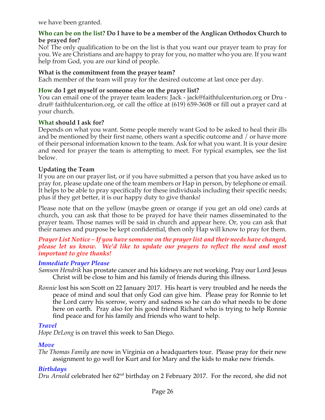we have been granted.

#### **Who can be on the list? Do I have to be a member of the Anglican Orthodox Church to be prayed for?**

No! The only qualification to be on the list is that you want our prayer team to pray for you. We are Christians and are happy to pray for you, no matter who you are. If you want help from God, you are our kind of people.

# **What is the commitment from the prayer team?**

Each member of the team will pray for the desired outcome at last once per day.

# **How do I get myself or someone else on the prayer list?**

You can email one of the prayer team leaders: Jack - jack@faithfulcenturion.org or Dru dru@ faithfulcenturion.org, or call the office at (619) 659-3608 or fill out a prayer card at your church.

#### **What should I ask for?**

Depends on what you want. Some people merely want God to be asked to heal their ills and be mentioned by their first name, others want a specific outcome and / or have more of their personal information known to the team. Ask for what you want. It is your desire and need for prayer the team is attempting to meet. For typical examples, see the list below.

# **Updating the Team**

If you are on our prayer list, or if you have submitted a person that you have asked us to pray for, please update one of the team members or Hap in person, by telephone or email. It helps to be able to pray specifically for these individuals including their specific needs; plus if they get better, it is our happy duty to give thanks!

Please note that on the yellow (maybe green or orange if you get an old one) cards at church, you can ask that those to be prayed for have their names disseminated to the prayer team. Those names will be said in church and appear here. Or, you can ask that their names and purpose be kept confidential, then only Hap will know to pray for them.

#### *Prayer List Notice – If you have someone on the prayer list and their needs have changed, please let us know. We'd like to update our prayers to reflect the need and most important to give thanks!*

#### *Immediate Prayer Please*

- *Samson Hendrik* has prostate cancer and his kidneys are not working. Pray our Lord Jesus Christ will be close to him and his family of friends during this illness.
- *Ronnie* lost his son Scott on 22 January 2017. His heart is very troubled and he needs the peace of mind and soul that only God can give him. Please pray for Ronnie to let the Lord carry his sorrow, worry and sadness so he can do what needs to be done here on earth. Pray also for his good friend Richard who is trying to help Ronnie find peace and for his family and friends who want to help.

# *Travel*

*Hope DeLong* is on travel this week to San Diego.

# *Move*

*The Thomas Family* are now in Virginia on a headquarters tour. Please pray for their new assignment to go well for Kurt and for Mary and the kids to make new friends.

# *Birthdays*

*Dru Arnold* celebrated her 62<sup>nd</sup> birthday on 2 February 2017. For the record, she did not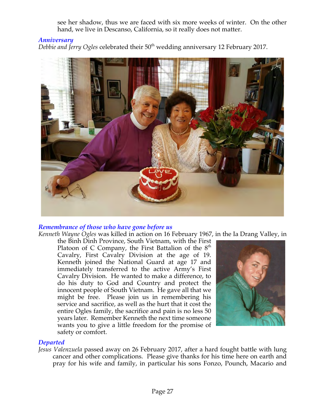see her shadow, thus we are faced with six more weeks of winter. On the other hand, we live in Descanso, California, so it really does not matter.

# *Anniversary*

*Debbie and Jerry Ogles* celebrated their 50th wedding anniversary 12 February 2017.



#### *Remembrance of those who have gone before us*

*Kenneth Wayne Ogles* was killed in action on 16 February 1967, in the Ia Drang Valley, in

the Binh Dinh Province, South Vietnam, with the First Platoon of C Company, the First Battalion of the  $8<sup>th</sup>$ Cavalry, First Cavalry Division at the age of 19. Kenneth joined the National Guard at age 17 and immediately transferred to the active Army's First Cavalry Division. He wanted to make a difference, to do his duty to God and Country and protect the innocent people of South Vietnam. He gave all that we might be free. Please join us in remembering his service and sacrifice, as well as the hurt that it cost the entire Ogles family, the sacrifice and pain is no less 50 years later. Remember Kenneth the next time someone wants you to give a little freedom for the promise of safety or comfort.



#### *Departed*

*Jesus Valenzuela* passed away on 26 February 2017, after a hard fought battle with lung cancer and other complications. Please give thanks for his time here on earth and pray for his wife and family, in particular his sons Fonzo, Pounch, Macario and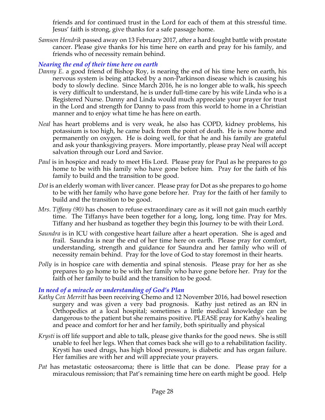friends and for continued trust in the Lord for each of them at this stressful time. Jesus' faith is strong, give thanks for a safe passage home.

*Samson Hendrik* passed away on 13 February 2017, after a hard fought battle with prostate cancer. Please give thanks for his time here on earth and pray for his family, and friends who of necessity remain behind.

# *Nearing the end of their time here on earth*

- *Danny E.* a good friend of Bishop Roy, is nearing the end of his time here on earth, his nervous system is being attacked by a non-Parkinson disease which is causing his body to slowly decline. Since March 2016, he is no longer able to walk, his speech is very difficult to understand, he is under full-time care by his wife Linda who is a Registered Nurse. Danny and Linda would much appreciate your prayer for trust in the Lord and strength for Danny to pass from this world to home in a Christian manner and to enjoy what time he has here on earth.
- *Neal* has heart problems and is very weak, he also has COPD, kidney problems, his potassium is too high, he came back from the point of death. He is now home and permanently on oxygen. He is doing well, for that he and his family are grateful and ask your thanksgiving prayers. More importantly, please pray Neal will accept salvation through our Lord and Savior.
- *Paul* is in hospice and ready to meet His Lord. Please pray for Paul as he prepares to go home to be with his family who have gone before him. Pray for the faith of his family to build and the transition to be good.
- *Dot* is an elderly woman with liver cancer. Please pray for Dot as she prepares to go home to be with her family who have gone before her. Pray for the faith of her family to build and the transition to be good.
- *Mrs. Tiffany (90)* has chosen to refuse extraordinary care as it will not gain much earthly time. The Tiffanys have been together for a long, long, long time. Pray for Mrs. Tiffany and her husband as together they begin this Journey to be with their Lord.
- *Saundra* is in ICU with congestive heart failure after a heart operation. She is aged and frail. Saundra is near the end of her time here on earth. Please pray for comfort, understanding, strength and guidance for Saundra and her family who will of necessity remain behind. Pray for the love of God to stay foremost in their hearts.
- *Polly* is in hospice care with dementia and spinal stenosis. Please pray for her as she prepares to go home to be with her family who have gone before her. Pray for the faith of her family to build and the transition to be good.

# *In need of a miracle or understanding of God's Plan*

- *Kathy Cox Merritt* has been receiving Chemo and 12 November 2016, had bowel resection surgery and was given a very bad prognosis. Kathy just retired as an RN in Orthopedics at a local hospital; sometimes a little medical knowledge can be dangerous to the patient but she remains positive. PLEASE pray for Kathy's healing and peace and comfort for her and her family, both spiritually and physical
- *Krysti* is off life support and able to talk, please give thanks for the good news. She is still unable to feel her legs. When that comes back she will go to a rehabilitation facility. Krysti has used drugs, has high blood pressure, is diabetic and has organ failure. Her families are with her and will appreciate your prayers.
- *Pat* has metastatic osteosarcoma; there is little that can be done. Please pray for a miraculous remission; that Pat's remaining time here on earth might be good. Help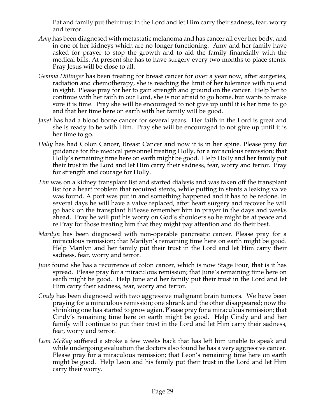Pat and family put their trust in the Lord and let Him carry their sadness, fear, worry and terror.

- *Amy* has been diagnosed with metastatic melanoma and has cancer all over her body, and in one of her kidneys which are no longer functioning. Amy and her family have asked for prayer to stop the growth and to aid the family financially with the medical bills. At present she has to have surgery every two months to place stents. Pray Jesus will be close to all.
- *Gemma Dillinger* has been treating for breast cancer for over a year now, after surgeries, radiation and chemotherapy, she is reaching the limit of her tolerance with no end in sight. Please pray for her to gain strength and ground on the cancer. Help her to continue with her faith in our Lord, she is not afraid to go home, but wants to make sure it is time. Pray she will be encouraged to not give up until it is her time to go and that her time here on earth with her family will be good.
- *Janet* has had a blood borne cancer for several years. Her faith in the Lord is great and she is ready to be with Him. Pray she will be encouraged to not give up until it is her time to go.
- *Holly* has had Colon Cancer, Breast Cancer and now it is in her spine. Please pray for guidance for the medical personnel treating Holly, for a miraculous remission; that Holly's remaining time here on earth might be good. Help Holly and her family put their trust in the Lord and let Him carry their sadness, fear, worry and terror. Pray for strength and courage for Holly.
- *Tim* was on a kidney transplant list and started dialysis and was taken off the transplant list for a heart problem that required stents, while putting in stents a leaking valve was found. A port was put in and something happened and it has to be redone. In several days he will have a valve replaced, after heart surgery and recover he will go back on the transplant liPlease remember him in prayer in the days and weeks ahead. Pray he will put his worry on God's shoulders so he might be at peace and re Pray for those treating him that they might pay attention and do their best.
- *Marilyn* has been diagnosed with non-operable pancreatic cancer. Please pray for a miraculous remission; that Marilyn's remaining time here on earth might be good. Help Marilyn and her family put their trust in the Lord and let Him carry their sadness, fear, worry and terror.
- *June* found she has a recurrence of colon cancer, which is now Stage Four, that is it has spread. Please pray for a miraculous remission; that June's remaining time here on earth might be good. Help June and her family put their trust in the Lord and let Him carry their sadness, fear, worry and terror.
- *Cindy* has been diagnosed with two aggressive malignant brain tumors. We have been praying for a miraculous remission; one shrank and the other disappeared; now the shrinking one has started to grow agian. Please pray for a miraculous remission; that Cindy's remaining time here on earth might be good. Help Cindy and and her family will continue to put their trust in the Lord and let Him carry their sadness, fear, worry and terror.
- *Leon McKay* suffered a stroke a few weeks back that has left him unable to speak and while undergoing evaluation the doctors also found he has a very aggressive cancer. Please pray for a miraculous remission; that Leon's remaining time here on earth might be good. Help Leon and his family put their trust in the Lord and let Him carry their worry.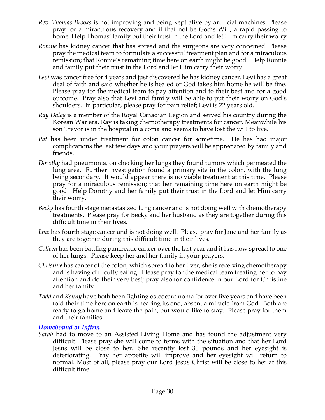- *Rev. Thomas Brooks* is not improving and being kept alive by artificial machines. Please pray for a miraculous recovery and if that not be God's Will, a rapid passing to home. Help Thomas' family put their trust in the Lord and let Him carry their worry
- *Ronnie* has kidney cancer that has spread and the surgeons are very concerned. Please pray the medical team to formulate a successful treatment plan and for a miraculous remission; that Ronnie's remaining time here on earth might be good. Help Ronnie and family put their trust in the Lord and let Him carry their worry.
- *Levi* was cancer free for 4 years and just discovered he has kidney cancer. Levi has a great deal of faith and said whether he is healed or God takes him home he will be fine. Please pray for the medical team to pay attention and to their best and for a good outcome. Pray also that Levi and family will be able to put their worry on God's shoulders. In particular, please pray for pain relief; Levi is 22 years old.
- *Ray Daley* is a member of the Royal Canadian Legion and served his country during the Korean War era. Ray is taking chemotherapy treatments for cancer. Meanwhile his son Trevor is in the hospital in a coma and seems to have lost the will to live.
- *Pat* has been under treatment for colon cancer for sometime. He has had major complications the last few days and your prayers will be appreciated by family and friends.
- *Dorothy* had pneumonia, on checking her lungs they found tumors which permeated the lung area. Further investigation found a primary site in the colon, with the lung being secondary. It would appear there is no viable treatment at this time. Please pray for a miraculous remission; that her remaining time here on earth might be good. Help Dorothy and her family put their trust in the Lord and let Him carry their worry.
- *Becky* has fourth stage metastasized lung cancer and is not doing well with chemotherapy treatments. Please pray for Becky and her husband as they are together during this difficult time in their lives.
- *Jane* has fourth stage cancer and is not doing well. Please pray for Jane and her family as they are together during this difficult time in their lives.
- *Colleen* has been battling pancreatic cancer over the last year and it has now spread to one of her lungs. Please keep her and her family in your prayers.
- *Christine* has cancer of the colon, which spread to her liver; she is receiving chemotherapy and is having difficulty eating. Please pray for the medical team treating her to pay attention and do their very best; pray also for confidence in our Lord for Christine and her family.
- *Todd* and *Kenny* have both been fighting osteocarcinoma for over five years and have been told their time here on earth is nearing its end, absent a miracle from God. Both are ready to go home and leave the pain, but would like to stay. Please pray for them and their families.

#### *Homebound or Infirm*

*Sarah* had to move to an Assisted Living Home and has found the adjustment very difficult. Please pray she will come to terms with the situation and that her Lord Jesus will be close to her. She recently lost 30 pounds and her eyesight is deteriorating. Pray her appetite will improve and her eyesight will return to normal. Most of all, please pray our Lord Jesus Christ will be close to her at this difficult time.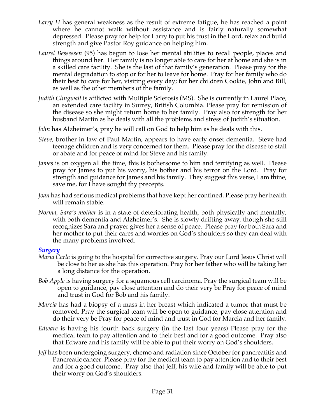- *Larry H* has general weakness as the result of extreme fatigue, he has reached a point where he cannot walk without assistance and is fairly naturally somewhat depressed. Please pray for help for Larry to put his trust in the Lord, relax and build strength and give Pastor Roy guidance on helping him.
- *Laurel Bessessen* (95) has begun to lose her mental abilities to recall people, places and things around her. Her family is no longer able to care for her at home and she is in a skilled care facility. She is the last of that family's generation. Please pray for the mental degradation to stop or for her to leave for home. Pray for her family who do their best to care for her, visiting every day; for her children Cookie, John and Bill, as well as the other members of the family.
- *Judith Clingwall* is afflicted with Multiple Sclerosis (MS). She is currently in Laurel Place, an extended care facility in Surrey, British Columbia. Please pray for remission of the disease so she might return home to her family. Pray also for strength for her husband Martin as he deals with all the problems and stress of Judith's situation.
- *John* has Alzheimer's, pray he will call on God to help him as he deals with this.
- *Steve,* brother in law of Paul Martin, appears to have early onset dementia. Steve had teenage children and is very concerned for them. Please pray for the disease to stall or abate and for peace of mind for Steve and his family.
- *James* is on oxygen all the time, this is bothersome to him and terrifying as well. Please pray for James to put his worry, his bother and his terror on the Lord. Pray for strength and guidance for James and his family. They suggest this verse, I am thine, save me, for I have sought thy precepts.
- *Joan* has had serious medical problems that have kept her confined. Please pray her health will remain stable.
- *Norma, Sara's mother* is in a state of deteriorating health, both physically and mentally, with both dementia and Alzheimer's. She is slowly drifting away, though she still recognizes Sara and prayer gives her a sense of peace. Please pray for both Sara and her mother to put their cares and worries on God's shoulders so they can deal with the many problems involved.

#### *Surgery*

- *Maria Carla* is going to the hospital for corrective surgery. Pray our Lord Jesus Christ will be close to her as she has this operation. Pray for her father who will be taking her a long distance for the operation.
- *Bob Apple* is having surgery for a squamous cell carcinoma. Pray the surgical team will be open to guidance, pay close attention and do their very be Pray for peace of mind and trust in God for Bob and his family.
- *Marcia* has had a biopsy of a mass in her breast which indicated a tumor that must be removed. Pray the surgical team will be open to guidance, pay close attention and do their very be Pray for peace of mind and trust in God for Marcia and her family.
- *Edware* is having his fourth back surgery (in the last four years) Please pray for the medical team to pay attention and to their best and for a good outcome. Pray also that Edware and his family will be able to put their worry on God's shoulders.
- *Jeff* has been undergoing surgery, chemo and radiation since October for pancreatitis and Pancreatic cancer. Please pray for the medical team to pay attention and to their best and for a good outcome. Pray also that Jeff, his wife and family will be able to put their worry on God's shoulders.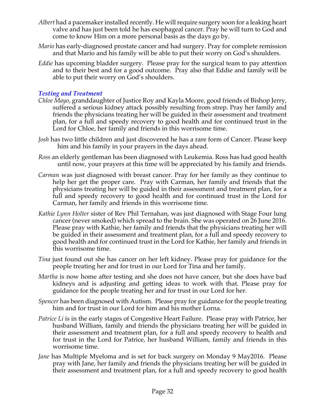- *Albert* had a pacemaker installed recently. He will require surgery soon for a leaking heart valve and has just been told he has esophageal cancer. Pray he will turn to God and come to know Him on a more personal basis as the days go by.
- *Mario* has early-diagnosed prostate cancer and had surgery. Pray for complete remission and that Mario and his family will be able to put their worry on God's shoulders.
- *Eddie* has upcoming bladder surgery. Please pray for the surgical team to pay attention and to their best and for a good outcome. Pray also that Eddie and family will be able to put their worry on God's shoulders.

# *Testing and Treatment*

- *Chloe Mayo*, granddaughter of Justice Roy and Kayla Moore, good friends of Bishop Jerry, suffered a serious kidney attack possibly resulting from strep. Pray her family and friends the physicians treating her will be guided in their assessment and treatment plan, for a full and speedy recovery to good health and for continued trust in the Lord for Chloe, her family and friends in this worrisome time.
- *Josh* has two little children and just discovered he has a rare form of Cancer. Please keep him and his family in your prayers in the days ahead.
- *Ross* an elderly gentleman has been diagnosed with Leukemia. Ross has had good health until now, your prayers at this time will be appreciated by his family and friends.
- *Carman* was just diagnosed with breast cancer. Pray for her family as they continue to help her get the proper care. Pray with Carman, her family and friends that the physicians treating her will be guided in their assessment and treatment plan, for a full and speedy recovery to good health and for continued trust in the Lord for Carman, her family and friends in this worrisome time.
- *Kathie Lynn Holter* sister of Rev Phil Ternahan, was just diagnosed with Stage Four lung cancer (never smoked) which spread to the brain. She was operated on 26 June 2016. Please pray with Kathie, her family and friends that the physicians treating her will be guided in their assessment and treatment plan, for a full and speedy recovery to good health and for continued trust in the Lord for Kathie, her family and friends in this worrisome time.
- *Tina* just found out she has cancer on her left kidney. Please pray for guidance for the people treating her and for trust in our Lord for Tina and her family.
- *Martha* is now home after testing and she does not have cancer, but she does have bad kidneys and is adjusting and getting ideas to work with that. Please pray for guidance for the people treating her and for trust in our Lord for her.
- *Spencer* has been diagnosed with Autism. Please pray for guidance for the people treating him and for trust in our Lord for him and his mother Lorna.
- *Patrice Li* is in the early stages of Congestive Heart Failure. Please pray with Patrice, her husband William, family and friends the physicians treating her will be guided in their assessment and treatment plan, for a full and speedy recovery to health and for trust in the Lord for Patrice, her husband William, family and friends in this worrisome time.
- *Jane* has Multiple Myeloma and is set for back surgery on Monday 9 May2016. Please pray with Jane, her family and friends the physicians treating her will be guided in their assessment and treatment plan, for a full and speedy recovery to good health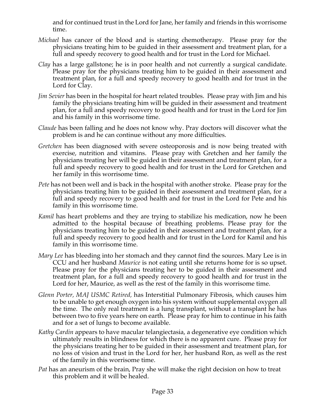and for continued trust in the Lord for Jane, her family and friends in this worrisome time.

- *Michael* has cancer of the blood and is starting chemotherapy. Please pray for the physicians treating him to be guided in their assessment and treatment plan, for a full and speedy recovery to good health and for trust in the Lord for Michael.
- *Clay* has a large gallstone; he is in poor health and not currently a surgical candidate. Please pray for the physicians treating him to be guided in their assessment and treatment plan, for a full and speedy recovery to good health and for trust in the Lord for Clay.
- *Jim Sevier* has been in the hospital for heart related troubles. Please pray with Jim and his family the physicians treating him will be guided in their assessment and treatment plan, for a full and speedy recovery to good health and for trust in the Lord for Jim and his family in this worrisome time.
- *Claude* has been falling and he does not know why. Pray doctors will discover what the problem is and he can continue without any more difficulties.
- *Gretchen* has been diagnosed with severe osteoporosis and is now being treated with exercise, nutrition and vitamins. Please pray with Gretchen and her family the physicians treating her will be guided in their assessment and treatment plan, for a full and speedy recovery to good health and for trust in the Lord for Gretchen and her family in this worrisome time.
- *Pete* has not been well and is back in the hospital with another stroke. Please pray for the physicians treating him to be guided in their assessment and treatment plan, for a full and speedy recovery to good health and for trust in the Lord for Pete and his family in this worrisome time.
- *Kamil* has heart problems and they are trying to stabilize his medication, now he been admitted to the hospital because of breathing problems. Please pray for the physicians treating him to be guided in their assessment and treatment plan, for a full and speedy recovery to good health and for trust in the Lord for Kamil and his family in this worrisome time.
- *Mary Lee* has bleeding into her stomach and they cannot find the sources. Mary Lee is in CCU and her husband *Maurice* is not eating until she returns home for is so upset. Please pray for the physicians treating her to be guided in their assessment and treatment plan, for a full and speedy recovery to good health and for trust in the Lord for her, Maurice, as well as the rest of the family in this worrisome time.
- *Glenn Porter, MAJ USMC Retired,* has Interstitial Pulmonary Fibrosis, which causes him to be unable to get enough oxygen into his system without supplemental oxygen all the time. The only real treatment is a lung transplant, without a transplant he has between two to five years here on earth. Please pray for him to continue in his faith and for a set of lungs to become available.
- *Kathy Cardin* appears to have macular telangiectasia, a degenerative eye condition which ultimately results in blindness for which there is no apparent cure. Please pray for the physicians treating her to be guided in their assessment and treatment plan, for no loss of vision and trust in the Lord for her, her husband Ron, as well as the rest of the family in this worrisome time.
- *Pat* has an aneurism of the brain, Pray she will make the right decision on how to treat this problem and it will be healed.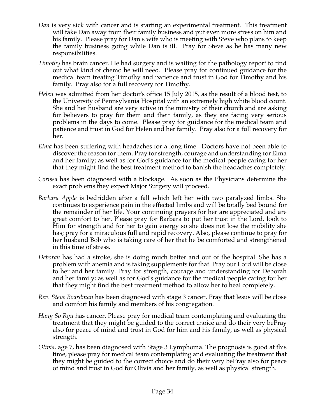- *Dan* is very sick with cancer and is starting an experimental treatment. This treatment will take Dan away from their family business and put even more stress on him and his family. Please pray for Dan's wife who is meeting with Steve who plans to keep the family business going while Dan is ill. Pray for Steve as he has many new responsibilities.
- *Timothy* has brain cancer. He had surgery and is waiting for the pathology report to find out what kind of chemo he will need. Please pray for continued guidance for the medical team treating Timothy and patience and trust in God for Timothy and his family. Pray also for a full recovery for Timothy.
- *Helen* was admitted from her doctor's office 15 July 2015, as the result of a blood test, to the University of Pennsylvania Hospital with an extremely high white blood count. She and her husband are very active in the ministry of their church and are asking for believers to pray for them and their family, as they are facing very serious problems in the days to come. Please pray for guidance for the medical team and patience and trust in God for Helen and her family. Pray also for a full recovery for her.
- *Elma* has been suffering with headaches for a long time. Doctors have not been able to discoverthe reason forthem. Pray for strength, courage and understanding for Elma and her family; as well as for God's guidance for the medical people caring for her that they might find the best treatment method to banish the headaches completely.
- *Corissa* has been diagnosed with a blockage. As soon as the Physicians determine the exact problems they expect Major Surgery will proceed.
- *Barbara Apple* is bedridden after a fall which left her with two paralyzed limbs. She continues to experience pain in the effected limbs and will be totally bed bound for the remainder of her life. Your continuing prayers for her are appreciated and are great comfort to her. Please pray for Barbara to put her trust in the Lord, look to Him for strength and for her to gain energy so she does not lose the mobility she has; pray for a miraculous full and rapid recovery. Also, please continue to pray for her husband Bob who is taking care of her that he be comforted and strengthened in this time of stress.
- *Deborah* has had a stroke, she is doing much better and out of the hospital. She has a problem with anemia and is taking supplements for that. Pray our Lord will be close to her and her family. Pray for strength, courage and understanding for Deborah and her family; as well as for God's guidance for the medical people caring for her that they might find the best treatment method to allow her to heal completely.
- *Rev. Steve Boardman* has been diagnosed with stage 3 cancer. Pray that Jesus will be close and comfort his family and members of his congregation*.*
- *Hang So Ryu* has cancer. Please pray for medical team contemplating and evaluating the treatment that they might be guided to the correct choice and do their very bePray also for peace of mind and trust in God for him and his family, as well as physical strength.
- *Olivia,* age 7, has been diagnosed with Stage 3 Lymphoma. The prognosis is good at this time, please pray for medical team contemplating and evaluating the treatment that they might be guided to the correct choice and do their very bePray also for peace of mind and trust in God for Olivia and her family, as well as physical strength.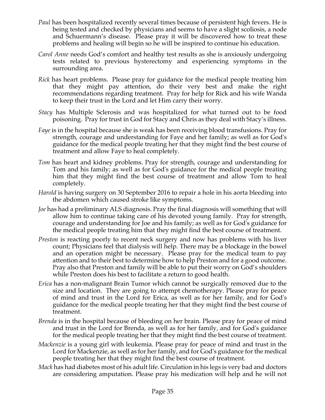- *Paul* has been hospitalized recently several times because of persistent high fevers. He is being tested and checked by physicians and seems to have a slight scoliosis, a node and Schuermann's disease. Please pray it will be discovered how to treat these problems and healing will begin so he will be inspired to continue his education.
- *Carol Anne* needs God's comfort and healthy test results as she is anxiously undergoing tests related to previous hysterectomy and experiencing symptoms in the surrounding area.
- *Rick* has heart problems. Please pray for guidance for the medical people treating him that they might pay attention, do their very best and make the right recommendations regarding treatment. Pray for help for Rick and his wife Wanda to keep their trust in the Lord and let Him carry their worry.
- *Stacy* has Multiple Sclerosis and was hospitalized for what turned out to be food poisoning. Pray for trust in God for Stacy and Chris as they deal with Stacy's illness.
- *Faye* is in the hospital because she is weak has been receiving blood transfusions. Pray for strength, courage and understanding for Faye and her family; as well as for God's guidance for the medical people treating her that they might find the best course of treatment and allow Faye to heal completely.
- *Tom* has heart and kidney problems. Pray for strength, courage and understanding for Tom and his family; as well as for God's guidance for the medical people treating him that they might find the best course of treatment and allow Tom to heal completely.
- *Harold* is having surgery on 30 September 2016 to repair a hole in his aorta bleeding into the abdomen which caused stroke like symptoms.
- *Joe* has had a preliminary ALS diagnosis. Pray the final diagnosis will something that will allow him to continue taking care of his devoted young family. Pray for strength, courage and understanding for Joe and his family; as well as for God's guidance for the medical people treating him that they might find the best course of treatment.
- *Preston* is reacting poorly to recent neck surgery and now has problems with his liver count; Physicians feel that dialysis will help. There may be a blockage in the bowel and an operation might be necessary. Please pray for the medical team to pay attention and to their best to determine how to help Preston and for a good outcome. Pray also that Preston and family will be able to put their worry on God's shoulders while Preston does his best to facilitate a return to good health.
- *Erica* has a non-malignant Brain Tumor which cannot be surgically removed due to the size and location. They are going to attempt chemotherapy. Please pray for peace of mind and trust in the Lord for Erica, as well as for her family, and for God's guidance for the medical people treating her that they might find the best course of treatment.
- *Brenda* is in the hospital because of bleeding on her brain. Please pray for peace of mind and trust in the Lord for Brenda, as well as for her family, and for God's guidance for the medical people treating her that they might find the best course of treatment.
- *Mackenzie* is a young girl with leukemia. Please pray for peace of mind and trust in the Lord for Mackenzie, as well as for her family, and for God's guidance for the medical people treating her that they might find the best course of treatment.
- *Mack* has had diabetes most of his adult life. Circulation in his legs is very bad and doctors are considering amputation. Please pray his medication will help and he will not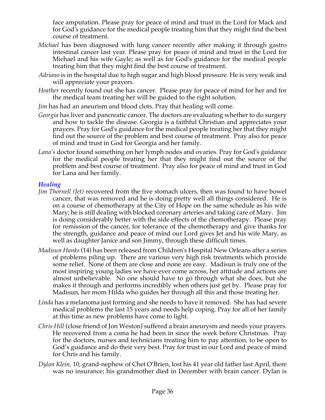face amputation. Please pray for peace of mind and trust in the Lord for Mack and for God's guidance for the medical people treating him that they might find the best course of treatment.

- *Michael* has been diagnosed with lung cancer recently after making it through gastro intestinal cancer last year. Please pray for peace of mind and trust in the Lord for Michael and his wife Gayle; as well as for God's guidance for the medical people treating him that they might find the best course of treatment.
- *Adriano* is in the hospital due to high sugar and high blood pressure. He is very weak and will appreciate your prayers.
- *Heather* recently found out she has cancer. Please pray for peace of mind for her and for the medical team treating her will be guided to the right solution.
- *Jim* has had an aneurism and blood clots. Pray that healing will come.
- *Georgia* has liver and pancreatic cancer. The doctors are evaluating whether to do surgery and how to tackle the disease. Georgia is a faithful Christian and appreciates your prayers. Pray for God's guidance for the medical people treating her that they might find out the source of the problem and best course of treatment. Pray also for peace of mind and trust in God for Georgia and her family.
- *Lana's* doctor found something on her lymph nodes and ovaries. Pray for God's guidance for the medical people treating her that they might find out the source of the problem and best course of treatment. Pray also for peace of mind and trust in God for Lana and her family.

#### *Healing*

- *Jim Thornell (Jet)* recovered from the five stomach ulcers, then was found to have bowel cancer, that was removed and he is doing pretty well all things considered. He is on a course of chemotherapy at the City of Hope on the same schedule as his wife Mary; he is still dealing with blocked coronary arteries and taking care of Mary. Jim is doing considerably better with the side effects of the chemotherapy. Please pray for remission of the cancer, for tolerance of the chemotherapy and give thanks for the strength, guidance and peace of mind our Lord gives Jet and his wife Mary, as well as daughter Janice and son Jimmy, through these difficult times.
- *Madisun Hanks* (14) has been released from Children's Hospital New Orleans after a series of problems piling up. There are various very high risk treatments which provide some relief. None of them are close and none are easy. Madisun is truly one of the most inspiring young ladies we have ever come across, her attitude and actions are almost unbelievable. No one should have to go through what she does, but she makes it through and performs incredibly when others just get by. Please pray for Madisun, her mom Hilda who guides her through all this and those treating her.
- *Linda* has a melanoma just forming and she needs to have it removed. She has had severe medical problems the last 15 years and needs help coping. Pray for all of her family at this time as new problems have come to light.
- *Chris Hill* (close friend of Jon Weston) suffered a brain aneurysm and needs your prayers. He recovered from a coma he had been in since the week before Christmas. Pray for the doctors, nurses and technicians treating him to pay attention, to be open to God's guidance and do their very best. Pray for trust in our Lord and peace of mind for Chris and his family.
- *Dylan Klein,* 10, grand-nephew of Chet O'Brien, lost his 41 year old father last April, there was no insurance; his grandmother died in December with brain cancer. Dylan is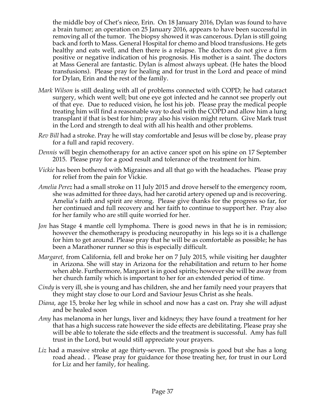the middle boy of Chet's niece, Erin. On 18 January 2016, Dylan was found to have a brain tumor; an operation on 25 January 2016, appears to have been successful in removing all of the tumor. The biopsy showed it was cancerous. Dylan is still going back and forth to Mass. General Hospital for chemo and blood transfusions. He gets healthy and eats well, and then there is a relapse. The doctors do not give a firm positive or negative indication of his prognosis. His mother is a saint. The doctors at Mass General are fantastic. Dylan is almost always upbeat. (He hates the blood transfusions). Please pray for healing and for trust in the Lord and peace of mind for Dylan, Erin and the rest of the family.

- *Mark Wilson* is still dealing with all of problems connected with COPD; he had cataract surgery, which went well; but one eye got infected and he cannot see properly out of that eye. Due to reduced vision, he lost his job. Please pray the medical people treating him will find a reasonable way to deal with the COPD and allow him a lung transplant if that is best for him; pray also his vision might return. Give Mark trust in the Lord and strength to deal with all his health and other problems.
- *Rev Bill* had a stroke. Pray he will stay comfortable and Jesus will be close by, please pray for a full and rapid recovery.
- *Dennis* will begin chemotherapy for an active cancer spot on his spine on 17 September 2015. Please pray for a good result and tolerance of the treatment for him.
- *Vickie* has been bothered with Migraines and all that go with the headaches. Please pray for relief from the pain for Vickie.
- *Amelia Perez* had a small stroke on 11 July 2015 and drove herself to the emergency room, she was admitted for three days, had her carotid artery opened up and is recovering. Amelia's faith and spirit are strong. Please give thanks for the progress so far, for her continued and full recovery and her faith to continue to support her. Pray also for her family who are still quite worried for her.
- *Jon* has Stage 4 mantle cell lymphoma. There is good news in that he is in remission; however the chemotherapy is producing neuropathy in his legs so it is a challenge for him to get around. Please pray that he will be as comfortable as possible; he has been a Marathoner runner so this is especially difficult.
- *Margaret,* from California, fell and broke her on 7 July 2015, while visiting her daughter in Arizona. She will stay in Arizona for the rehabilitation and return to her home when able. Furthermore, Margaret is in good spirits; however she will be away from her church family which is important to her for an extended period of time.
- *Cindy* is very ill, she is young and has children, she and her family need your prayers that they might stay close to our Lord and Saviour Jesus Christ as she heals.
- *Diana*, age 15, broke her leg while in school and now has a cast on. Pray she will adjust and be healed soon
- *Amy* has melanoma in her lungs, liver and kidneys; they have found a treatment for her that has a high success rate however the side effects are debilitating. Please pray she will be able to tolerate the side effects and the treatment is successful. Amy has full trust in the Lord, but would still appreciate your prayers.
- *Liz* had a massive stroke at age thirty-seven. The prognosis is good but she has a long road ahead. . Please pray for guidance for those treating her, for trust in our Lord for Liz and her family, for healing.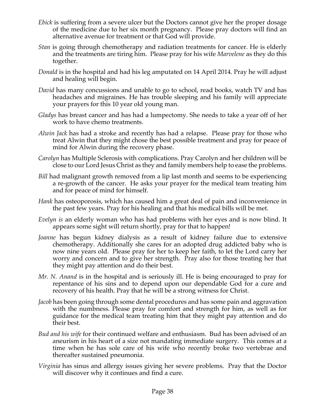- *Ebick* is suffering from a severe ulcer but the Doctors cannot give her the proper dosage of the medicine due to her six month pregnancy. Please pray doctors will find an alternative avenue for treatment or that God will provide.
- *Stan* is going through chemotherapy and radiation treatments for cancer. He is elderly and the treatments are tiring him. Please pray for his wife *Marvelene* as they do this together.
- *Donald* is in the hospital and had his leg amputated on 14 April 2014. Pray he will adjust and healing will begin.
- *David* has many concussions and unable to go to school, read books, watch TV and has headaches and migraines. He has trouble sleeping and his family will appreciate your prayers for this 10 year old young man.
- *Gladys* has breast cancer and has had a lumpectomy. She needs to take a year off of her work to have chemo treatments.
- *Alwin Jack* has had a stroke and recently has had a relapse. Please pray for those who treat Alwin that they might chose the best possible treatment and pray for peace of mind for Alwin during the recovery phase.
- *Carolyn* has Multiple Sclerosis with complications. Pray Carolyn and her children will be close to our Lord Jesus Christ as they and family members help to ease the problems.
- *Bill* had malignant growth removed from a lip last month and seems to be experiencing a re-growth of the cancer. He asks your prayer for the medical team treating him and for peace of mind for himself.
- *Hank* has osteoporosis, which has caused him a great deal of pain and inconvenience in the past few years. Pray for his healing and that his medical bills will be met.
- *Evelyn is* an elderly woman who has had problems with her eyes and is now blind. It appears some sight will return shortly, pray for that to happen!
- *Joanne* has begun kidney dialysis as a result of kidney failure due to extensive chemotherapy. Additionally she cares for an adopted drug addicted baby who is now nine years old. Please pray for her to keep her faith, to let the Lord carry her worry and concern and to give her strength. Pray also for those treating her that they might pay attention and do their best.
- *Mr. N. Anand* is in the hospital and is seriously ill. He is being encouraged to pray for repentance of his sins and to depend upon our dependable God for a cure and recovery of his health. Pray that he will be a strong witness for Christ.
- *Jacob* has been going through some dental procedures and has some pain and aggravation with the numbness. Please pray for comfort and strength for him, as well as for guidance for the medical team treating him that they might pay attention and do their best.
- *Bud and his wife* for their continued welfare and enthusiasm. Bud has been advised of an aneurism in his heart of a size not mandating immediate surgery. This comes at a time when he has sole care of his wife who recently broke two vertebrae and thereafter sustained pneumonia.
- *Virginia* has sinus and allergy issues giving her severe problems. Pray that the Doctor will discover why it continues and find a cure.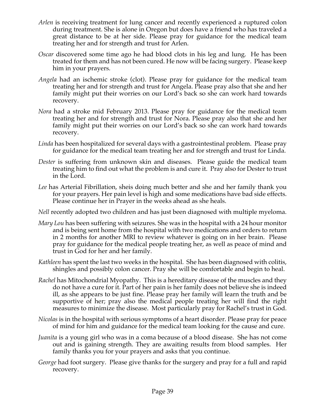- *Arlen* is receiving treatment for lung cancer and recently experienced a ruptured colon during treatment. She is alone in Oregon but does have a friend who has traveled a great distance to be at her side. Please pray for guidance for the medical team treating her and for strength and trust for Arlen.
- *Oscar* discovered some time ago he had blood clots in his leg and lung. He has been treated for them and has not been cured. He now will be facing surgery. Please keep him in your prayers.
- *Angela* had an ischemic stroke (clot). Please pray for guidance for the medical team treating her and for strength and trust for Angela. Please pray also that she and her family might put their worries on our Lord's back so she can work hard towards recovery.
- *Nora* had a stroke mid February 2013. Please pray for guidance for the medical team treating her and for strength and trust for Nora. Please pray also that she and her family might put their worries on our Lord's back so she can work hard towards recovery.
- *Linda* has been hospitalized for several days with a gastrointestinal problem. Please pray for guidance for the medical team treating her and for strength and trust for Linda.
- *Dester* is suffering from unknown skin and diseases. Please guide the medical team treating him to find out what the problem is and cure it. Pray also for Dester to trust in the Lord.
- *Lee* has Arterial Fibrillation, sheis doing much better and she and her family thank you for your prayers. Her pain level is high and some medications have bad side effects. Please continue her in Prayer in the weeks ahead as she heals.

*Nell* recently adopted two children and has just been diagnosed with multiple myeloma.

- *Mary Lou* has been suffering with seizures. She was in the hospital with a 24 hour monitor and is being sent home from the hospital with two medications and orders to return in 2 months for another MRI to review whatever is going on in her brain. Please pray for guidance for the medical people treating her, as well as peace of mind and trust in God for her and her family.
- *Kathleen* has spent the last two weeks in the hospital. She has been diagnosed with colitis, shingles and possibly colon cancer. Pray she will be comfortable and begin to heal.
- *Rachel* has Mitochondrial Myopathy. This is a hereditary disease of the muscles and they do not have a cure for it. Part of her pain is her family does not believe she is indeed ill, as she appears to be just fine. Please pray her family will learn the truth and be supportive of her; pray also the medical people treating her will find the right measures to minimize the disease. Most particularly pray for Rachel's trust in God.
- *Nicolas* is in the hospital with serious symptoms of a heart disorder. Please pray for peace of mind for him and guidance for the medical team looking for the cause and cure.
- *Juanita* is a young girl who was in a coma because of a blood disease. She has not come out and is gaining strength. They are awaiting results from blood samples. Her family thanks you for your prayers and asks that you continue.
- *George* had foot surgery. Please give thanks for the surgery and pray for a full and rapid recovery.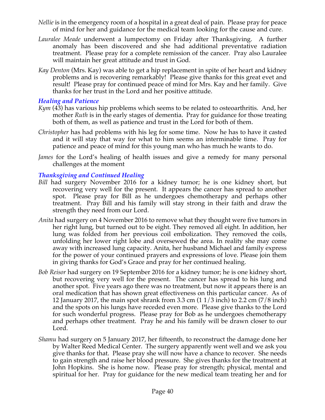- *Nellie* is in the emergency room of a hospital in a great deal of pain. Please pray for peace of mind for her and guidance for the medical team looking for the cause and cure.
- *Lauralee Meade* underwent a lumpectomy on Friday after Thanksgiving. A further anomaly has been discovered and she had additional preventative radiation treatment. Please pray for a complete remission of the cancer. Pray also Lauralee will maintain her great attitude and trust in God.
- *Kay Denton* (Mrs. Kay) was able to get a hip replacement in spite of her heart and kidney problems and is recovering remarkably! Please give thanks for this great evet and result! Please pray for continued peace of mind for Mrs. Kay and her family. Give thanks for her trust in the Lord and her positive attitude.

#### *Healing and Patience*

- *Kym* (43) has various hip problems which seems to be related to osteoarthritis. And, her mother *Ruth* is in the early stages of dementia. Pray for guidance for those treating both of them, as well as patience and trust in the Lord for both of them.
- *Christopher* has had problems with his leg for some time. Now he has to have it casted and it will stay that way for what to him seems an interminable time. Pray for patience and peace of mind for this young man who has much he wants to do.
- *James* for the Lord's healing of health issues and give a remedy for many personal challenges at the moment

# *Thanksgiving and Continued Healing*

- *Bill* had surgery November 2016 for a kidney tumor; he is one kidney short, but recovering very well for the present. It appears the cancer has spread to another spot. Please pray for Bill as he undergoes chemotherapy and perhaps other treatment. Pray Bill and his family will stay strong in their faith and draw the strength they need from our Lord.
- *Anita* had surgery on 4 November 2016 to remove what they thought were five tumors in her right lung, but turned out to be eight. They removed all eight. In addition, her lung was folded from her previous coil embolization. They removed the coils, unfolding her lower right lobe and oversewed the area. In reality she may come away with increased lung capacity. Anita, her husband Michael and family express for the power of your continued prayers and expressions of love. Please join them in giving thanks for God's Grace and pray for her continued healing.
- *Bob Reisor* had surgery on 19 September 2016 for a kidney tumor; he is one kidney short, but recovering very well for the present. The cancer has spread to his lung and another spot. Five years ago there was no treatment, but now it appears there is an oral medication that has shown great effectiveness on this particular cancer. As of 12 January 2017, the main spot shrank from 3.3 cm (1 1/3 inch) to 2.2 cm (7/8 inch) and the spots on his lungs have receded even more. Please give thanks to the Lord for such wonderful progress. Please pray for Bob as he undergoes chemotherapy and perhaps other treatment. Pray he and his family will be drawn closer to our Lord.
- *Shamu* had surgery on 5 January 2017, her fifteenth, to reconstruct the damage done her by Walter Reed Medical Center. The surgery apparently went well and we ask you give thanks for that. Please pray she will now have a chance to recover. She needs to gain strength and raise her blood pressure. She gives thanks for the treatment at John Hopkins. She is home now. Please pray for strength; physical, mental and spiritual for her. Pray for guidance for the new medical team treating her and for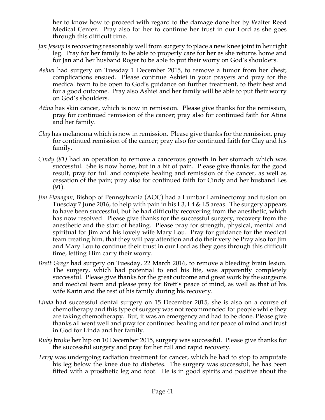her to know how to proceed with regard to the damage done her by Walter Reed Medical Center. Pray also for her to continue her trust in our Lord as she goes through this difficult time.

- *Jan Jessup* is recovering reasonably well from surgery to place a new knee joint in her right leg. Pray for her family to be able to properly care for her as she returns home and for Jan and her husband Roger to be able to put their worry on God's shoulders.
- *Ashiei* had surgery on Tuesday 1 December 2015, to remove a tumor from her chest; complications ensued. Please continue Ashiei in your prayers and pray for the medical team to be open to God's guidance on further treatment, to their best and for a good outcome. Pray also Ashiei and her family will be able to put their worry on God's shoulders.
- *Atina* has skin cancer, which is now in remission. Please give thanks for the remission, pray for continued remission of the cancer; pray also for continued faith for Atina and her family.
- *Clay* has melanoma which is now in remission. Please give thanks for the remission, pray for continued remission of the cancer; pray also for continued faith for Clay and his family.
- *Cindy (81)* had an operation to remove a cancerous growth in her stomach which was successful. She is now home, but in a bit of pain. Please give thanks for the good result, pray for full and complete healing and remission of the cancer, as well as cessation of the pain; pray also for continued faith for Cindy and her husband Les (91).
- *Jim Flanagan,* Bishop of Pennsylvania (AOC) had a Lumbar Laminectomy and fusion on Tuesday 7 June 2016, to help with pain in his L3, L4 & L5 areas. The surgery appears to have been successful, but he had difficulty recovering from the anesthetic, which has now resolved Please give thanks for the successful surgery, recovery from the anesthetic and the start of healing. Please pray for strength, physical, mental and spiritual for Jim and his lovely wife Mary Lou. Pray for guidance for the medical team treating him, that they will pay attention and do their very be Pray also for Jim and Mary Lou to continue their trust in our Lord as they goes through this difficult time, letting Him carry their worry.
- *Brett Gregr* had surgery on Tuesday, 22 March 2016, to remove a bleeding brain lesion. The surgery, which had potential to end his life, was apparently completely successful. Please give thanks for the great outcome and great work by the surgeons and medical team and please pray for Brett's peace of mind, as well as that of his wife Karin and the rest of his family during his recovery.
- *Linda* had successful dental surgery on 15 December 2015, she is also on a course of chemotherapy and this type of surgery was not recommended for people while they are taking chemotherapy. But, it was an emergency and had to be done. Please give thanks all went well and pray for continued healing and for peace of mind and trust in God for Linda and her family.
- *Ruby* broke her hip on 10 December 2015, surgery was successful. Please give thanks for the successful surgery and pray for her full and rapid recovery.
- *Terry* was undergoing radiation treatment for cancer, which he had to stop to amputate his leg below the knee due to diabetes. The surgery was successful, he has been fitted with a prosthetic leg and foot. He is in good spirits and positive about the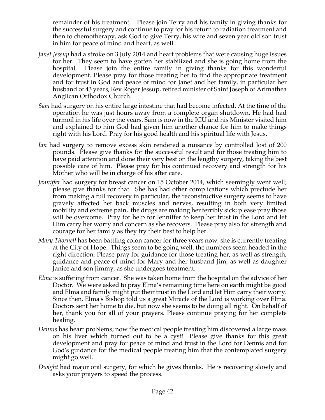remainder of his treatment. Please join Terry and his family in giving thanks for the successful surgery and continue to pray for his return to radiation treatment and then to chemotherapy, ask God to give Terry, his wife and seven year old son trust in him for peace of mind and heart, as well.

- *Janet Jessup* had a stroke on 3 July 2014 and heart problems that were causing huge issues for her. They seem to have gotten her stabilized and she is going home from the hospital. Please join the entire family in giving thanks for this wonderful development. Please pray for those treating her to find the appropriate treatment and for trust in God and peace of mind for Janet and her family, in particular her husband of 43 years, Rev Roger Jessup, retired minister of Saint Joseph of Arimathea Anglican Orthodox Church.
- *Sam* had surgery on his entire large intestine that had become infected. At the time of the operation he was just hours away from a complete organ shutdown. He had had turmoil in his life over the years. Sam is now in the ICU and his Minister visited him and explained to him God had given him another chance for him to make things right with his Lord. Pray for his good health and his spiritual life with Jesus.
- *Ian* had surgery to remove excess skin rendered a nuisance by controlled lost of 200 pounds. Please give thanks for the successful result and for those treating him to have paid attention and done their very best on the lengthy surgery, taking the best possible care of him. Please pray for his continued recovery and strength for his Mother who will be in charge of his after care.
- *Jenniffer* had surgery for breast cancer on 15 October 2014, which seemingly went well; please give thanks for that. She has had other complications which preclude her from making a full recovery in particular, the reconstructive surgery seems to have gravely affected her back muscles and nerves, resulting in both very limited mobility and extreme pain, the drugs are making her terribly sick; please pray those will be overcome. Pray for help for Jenniffer to keep her trust in the Lord and let Him carry her worry and concern as she recovers. Please pray also for strength and courage for her family as they try their best to help her.
- *Mary Thornell* has been battling colon cancer for three years now, she is currently treating at the City of Hope. Things seem to be going well, the numbers seem headed in the right direction. Please pray for guidance for those treating her, as well as strength, guidance and peace of mind for Mary and her husband Jim, as well as daughter Janice and son Jimmy, as she undergoes treatment.
- *Elma* is suffering from cancer. She was taken home from the hospital on the advice of her Doctor. We were asked to pray Elma's remaining time here on earth might be good and Elma and family might put their trust in the Lord and let Him carry their worry. Since then, Elma's Bishop told us a great Miracle of the Lord is working over Elma. Doctors sent her home to die, but now she seems to be doing all right. On behalf of her, thank you for all of your prayers. Please continue praying for her complete healing.
- *Dennis* has heart problems; now the medical people treating him discovered a large mass on his liver which turned out to be a cyst! Please give thanks for this great development and pray for peace of mind and trust in the Lord for Dennis and for God's guidance for the medical people treating him that the contemplated surgery might go well.
- *Dwight* had major oral surgery, for which he gives thanks. He is recovering slowly and asks your prayers to speed the process.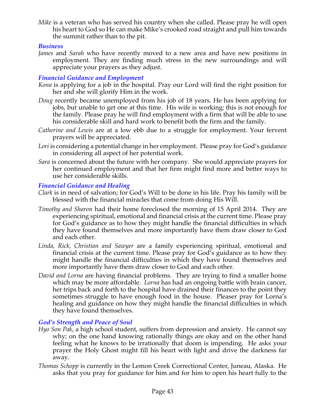*Mike* is a veteran who has served his country when she called. Please pray he will open his heart to God so He can make Mike's crooked road straight and pull him towards the summit rather than to the pit.

#### *Business*

*James* and *Sarah* who have recently moved to a new area and have new positions in employment. They are finding much stress in the new surroundings and will appreciate your prayers as they adjust.

# *Financial Guidance and Employment*

- *Kona* is applying for a job in the hospital. Pray our Lord will find the right position for her and she will glorify Him in the work.
- *Doug* recently became unemployed from his job of 18 years. He has been applying for jobs, but unable to get one at this time. His wife is working; this is not enough for the family. Please pray he will find employment with a firm that will be able to use his considerable skill and hard work to benefit both the firm and the family.
- *Catherine and Lewis* are at a low ebb due to a struggle for employment. Your fervent prayers will be appreciated.
- *Lori* is considering a potential change in her employment. Please pray for God's guidance in considering all aspect of her potential work.
- *Sara* is concerned about the future with her company. She would appreciate prayers for her continued employment and that her firm might find more and better ways to use her considerable skills.

# *Financial Guidance and Healing*

- *Clark* is in need of salvation; for God's Will to be done in his life. Pray his family will be blessed with the financial miracles that come from doing His Will.
- *Timothy and Sharon* had their home foreclosed the morning of 15 April 2014. They are experiencing spiritual, emotional and financial crisis at the current time. Please pray for God's guidance as to how they might handle the financial difficulties in which they have found themselves and more importantly have them draw closer to God and each other.
- *Linda, Rick, Christian and Sawyer* are a family experiencing spiritual, emotional and financial crisis at the current time. Please pray for God's guidance as to how they might handle the financial difficulties in which they have found themselves and more importantly have them draw closer to God and each other.
- *David and Lorna* are having financial problems. They are trying to find a smaller home which may be more affordable. *Lorna* has had an ongoing battle with brain cancer, her trips back and forth to the hospital have drained their finances to the point they sometimes struggle to have enough food in the house. Pleaser pray for Lorna's healing and guidance on how they might handle the financial difficulties in which they have found themselves.

# *God's Strength and Peace of Soul*

- *Hyo Son Pak*, a high school student, suffers from depression and anxiety. He cannot say why; on the one hand knowing rationally things are okay and on the other hand feeling what he knows to be irrationally that doom is impending. He asks your prayer the Holy Ghost might fill his heart with light and drive the darkness far away.
- *Thomas Schopp* is currently in the Lemon Creek Correctional Center, Juneau, Alaska. He asks that you pray for guidance for him and for him to open his heart fully to the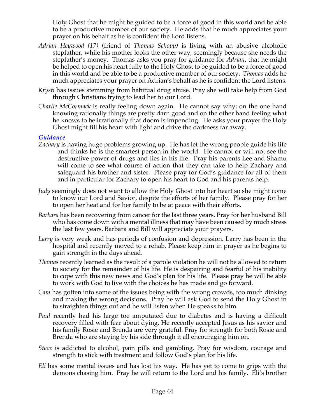Holy Ghost that he might be guided to be a force of good in this world and be able to be a productive member of our society. He adds that he much appreciates your prayer on his behalf as he is confident the Lord listens.

- *Adrian Heywood (17)* (friend of *Thomas Schopp)* is living with an abusive alcoholic stepfather, while his mother looks the other way, seemingly because she needs the stepfather's money. Thomas asks you pray for guidance for *Adrian*, that he might be helped to open his heart fully to the Holy Ghost to be guided to be a force of good in this world and be able to be a productive member of our society. *Thomas* adds he much appreciates your prayer on Adrian's behalf as he is confident the Lord listens.
- *Krysti* has issues stemming from habitual drug abuse. Pray she will take help from God through Christians trying to lead her to our Lord.
- *Charlie McCormack* is really feeling down again. He cannot say why; on the one hand knowing rationally things are pretty darn good and on the other hand feeling what he knows to be irrationally that doom is impending. He asks your prayer the Holy Ghost might fill his heart with light and drive the darkness far away.

#### *Guidance*

- *Zachary* is having huge problems growing up. He has let the wrong people guide his life and thinks he is the smartest person in the world. He cannot or will not see the destructive power of drugs and lies in his life. Pray his parents Lee and Shamu will come to see what course of action that they can take to help Zachary and safeguard his brother and sister. Please pray for God's guidance for all of them and in particular for Zachary to open his heart to God and his parents help.
- *Judy* seemingly does not want to allow the Holy Ghost into her heart so she might come to know our Lord and Savior, despite the efforts of her family. Please pray for her to open her heat and for her family to be at peace with their efforts.
- *Barbara* has been recovering from cancer for the last three years. Pray for her husband Bill who has come down with a mental illness that may have been caused by much stress the last few years. Barbara and Bill will appreciate your prayers.
- *Larry* is very weak and has periods of confusion and depression. Larry has been in the hospital and recently moved to a rehab. Please keep him in prayer as he begins to gain strength in the days ahead.
- *Thomas* recently learned as the result of a parole violation he will not be allowed to return to society for the remainder of his life. He is despairing and fearful of his inability to cope with this new news and God's plan for his life. Please pray he will be able to work with God to live with the choices he has made and go forward.
- *Cam* has gotten into some of the issues being with the wrong crowds, too much dinking and making the wrong decisions. Pray he will ask God to send the Holy Ghost in to straighten things out and he will listen when He speaks to him.
- *Paul* recently had his large toe amputated due to diabetes and is having a difficult recovery filled with fear about dying. He recently accepted Jesus as his savior and his family Rosie and Brenda are very grateful. Pray for strength for both Rosie and Brenda who are staying by his side through it all encouraging him on.
- *Steve* is addicted to alcohol, pain pills and gambling. Pray for wisdom, courage and strength to stick with treatment and follow God's plan for his life.
- *Eli* has some mental issues and has lost his way. He has yet to come to grips with the demons chasing him. Pray he will return to the Lord and his family. Eli's brother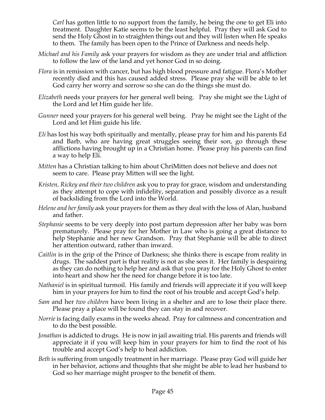*Carl* has gotten little to no support from the family, he being the one to get Eli into treatment. Daughter Katie seems to be the least helpful. Pray they will ask God to send the Holy Ghost in to straighten things out and they will listen when He speaks to them. The family has been open to the Prince of Darkness and needs help.

- *Michael and his Family* ask your prayers for wisdom as they are under trial and affliction to follow the law of the land and yet honor God in so doing.
- *Flora* is in remission with cancer, but has high blood pressure and fatigue. Flora's Mother recently died and this has caused added stress. Please pray she will be able to let God carry her worry and sorrow so she can do the things she must do.
- *Elizabeth* needs your prayers for her general well being. Pray she might see the Light of the Lord and let Him guide her life.
- *Gunner* need your prayers for his general well being. Pray he might see the Light of the Lord and let Him guide his life.
- *Eli* has lost his way both spiritually and mentally, please pray for him and his parents Ed and Barb, who are having great struggles seeing their son, go through these afflictions having brought up in a Christian home. Please pray his parents can find a way to help Eli.
- *Mitten* has a Christian talking to him about ChriMitten does not believe and does not seem to care. Please pray Mitten will see the light.
- *Kristen, Rickey and their two children* ask you to pray for grace, wisdom and understanding as they attempt to cope with infidelity, separation and possibly divorce as a result of backsliding from the Lord into the World.
- *Helene and her family* ask your prayers for them as they deal with the loss of Alan, husband and father.
- *Stephanie* seems to be very deeply into post partum depression after her baby was born prematurely. Please pray for her Mother in Law who is going a great distance to help Stephanie and her new Grandson. Pray that Stephanie will be able to direct her attention outward, rather than inward.
- *Caitlin* is in the grip of the Prince of Darkness; she thinks there is escape from reality in drugs. The saddest part is that reality is not as she sees it. Her family is despairing as they can do nothing to help her and ask that you pray for the Holy Ghost to enter into heart and show her the need for change before it is too late.
- *Nathaniel* is in spiritual turmoil. His family and friends will appreciate it if you will keep him in your prayers for him to find the root of his trouble and accept God's help.
- *Sam* and her *two children* have been living in a shelter and are to lose their place there. Please pray a place will be found they can stay in and recover.
- *Norrie* is facing daily exams in the weeks ahead. Pray for calmness and concentration and to do the best possible.
- *Jonathan* is addicted to drugs. He is now in jail awaiting trial. His parents and friends will appreciate it if you will keep him in your prayers for him to find the root of his trouble and accept God's help to heal addiction.
- *Beth* is suffering from ungodly treatment in her marriage. Please pray God will guide her in her behavior, actions and thoughts that she might be able to lead her husband to God so her marriage might prosper to the benefit of them.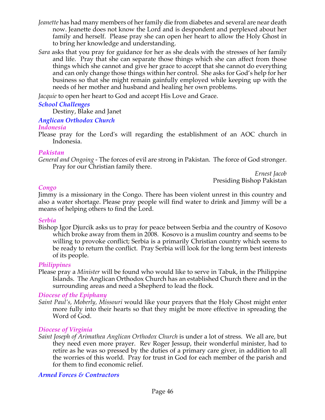- *Jeanette* has had many members of her family die from diabetes and several are near death now. Jeanette does not know the Lord and is despondent and perplexed about her family and herself. Please pray she can open her heart to allow the Holy Ghost in to bring her knowledge and understanding.
- *Sara* asks that you pray for guidance for her as she deals with the stresses of her family and life. Pray that she can separate those things which she can affect from those things which she cannot and give her grace to accept that she cannot do everything and can only change those things within her control. She asks for God's help for her business so that she might remain gainfully employed while keeping up with the needs of her mother and husband and healing her own problems.

*Jacquie* to open her heart to God and accept His Love and Grace.

# *School Challenges*

Destiny, Blake and Janet

# *Anglican Orthodox Church*

# *Indonesia*

Please pray for the Lord's will regarding the establishment of an AOC church in Indonesia.

# *Pakistan*

*General and Ongoing -* The forces of evil are strong in Pakistan. The force of God stronger. Pray for our Christian family there.

*Ernest Jacob* Presiding Bishop Pakistan

# *Congo*

Jimmy is a missionary in the Congo. There has been violent unrest in this country and also a water shortage. Please pray people will find water to drink and Jimmy will be a means of helping others to find the Lord.

# *Serbia*

Bishop Igor Djurcik asks us to pray for peace between Serbia and the country of Kosovo which broke away from them in 2008. Kosovo is a muslim country and seems to be willing to provoke conflict; Serbia is a primarily Christian country which seems to be ready to return the conflict. Pray Serbia will look for the long term best interests of its people.

# *Philippines*

Please pray a *Minister* will be found who would like to serve in Tabuk, in the Philippine Islands. The Anglican Orthodox Church has an established Church there and in the surrounding areas and need a Shepherd to lead the flock*.*

# *Diocese of the Epiphany*

*Saint Paul's, Moberly, Missouri* would like your prayers that the Holy Ghost might enter more fully into their hearts so that they might be more effective in spreading the Word of God.

# *Diocese of Virginia*

*Saint Joseph of Arimathea Anglican Orthodox Church* is under a lot of stress. We all are, but they need even more prayer. Rev Roger Jessup, their wonderful minister, had to retire as he was so pressed by the duties of a primary care giver, in addition to all the worries of this world. Pray for trust in God for each member of the parish and for them to find economic relief.

# *Armed Forces & Contractors*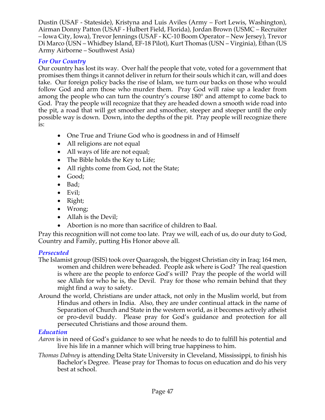Dustin (USAF - Stateside), Kristyna and Luis Aviles (Army – Fort Lewis, Washington), Airman Donny Patton (USAF - Hulbert Field, Florida), Jordan Brown (USMC – Recruiter – Iowa City, Iowa), Trevor Jennings (USAF - KC-10 Boom Operator – New Jersey), Trevor Di Marco (USN – Whidbey Island, EF-18 Pilot), Kurt Thomas (USN – Virginia), Ethan (US Army Airborne – Southwest Asia)

# *For Our Country*

Our country has lost its way. Over half the people that vote, voted for a government that promises them things it cannot deliver in return for their souls which it can, will and does take. Our foreign policy backs the rise of Islam, we turn our backs on those who would follow God and arm those who murder them. Pray God will raise up a leader from among the people who can turn the country's course 180° and attempt to come back to God. Pray the people will recognize that they are headed down a smooth wide road into the pit, a road that will get smoother and smoother, steeper and steeper until the only possible way is down. Down, into the depths of the pit. Pray people will recognize there is:

- One True and Triune God who is goodness in and of Himself
- All religions are not equal
- All ways of life are not equal;
- The Bible holds the Key to Life;
- All rights come from God, not the State;
- Good;
- Bad;
- Evil;
- Right;
- Wrong;
- Allah is the Devil;
- Abortion is no more than sacrifice of children to Baal.

Pray this recognition will not come too late. Pray we will, each of us, do our duty to God, Country and Family, putting His Honor above all.

# *Persecuted*

- The Islamist group (ISIS) took over Quaragosh, the biggest Christian city in Iraq; 164 men, women and children were beheaded. People ask where is God? The real question is where are the people to enforce God's will? Pray the people of the world will see Allah for who he is, the Devil. Pray for those who remain behind that they might find a way to safety.
- Around the world, Christians are under attack, not only in the Muslim world, but from Hindus and others in India. Also, they are under continual attack in the name of Separation of Church and State in the western world, as it becomes actively atheist or pro-devil buddy. Please pray for God's guidance and protection for all persecuted Christians and those around them.

# *Education*

- *Aaron* is in need of God's guidance to see what he needs to do to fulfill his potential and live his life in a manner which will bring true happiness to him.
- *Thomas Dabney* is attending Delta State University in Cleveland, Mississippi, to finish his Bachelor's Degree. Please pray for Thomas to focus on education and do his very best at school.